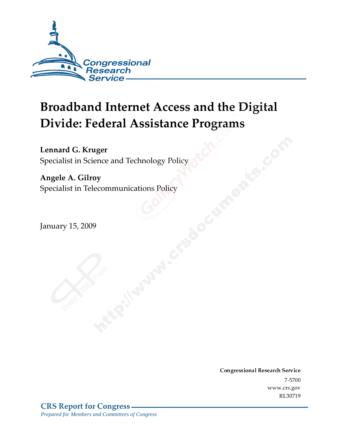

# **Broadband Internet Access and the Digital** Divide: Federal Assistance Programs

Lennard G. Kruger Specialist in Science and Technology Policy

Angele A. Gilroy Specialist in Telecommunications Policy

**January 15, 2009** 

Conglessional Research Service  $7 - 2700$ www.crs.gov RL30719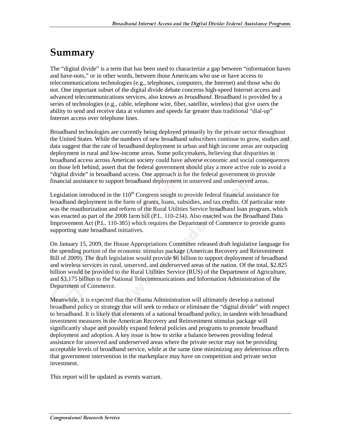## Summary

The "digital divide" is a term that has been used to characterize a gap between "information haves and have-nots," or in other words, between those Americans who use or have access to telecommunications technologies (e.g., telephones, computers, the Internet) and those who do not. One important subset of the digital divide debate concerns high-speed Internet access and advanced telecommunications services, also known as *broadband*. Broadband is provided by a series of technologies (e.g., cable, telephone wire, fiber, satellite, wireless) that give users the ability to send and receive data at volumes and speeds far greater than traditional "dial-up" Internet access over telephone lines.

Broadband technologies are currently being deployed primarily by the private sector throughout the United States. While the numbers of new broadband subscribers continue to grow, studies and data suggest that the rate of broadband deployment in urban and high income areas are outpacing deployment in rural and low-income areas. Some policymakers, believing that disparities in broadband access across American society could have adverse economic and social consequences on those left behind, assert that the federal government should play a more active role to avoid a "digital divide" in broadband access. One approach is for the federal government to provide financial assistance to support broadband deployment in unserved and underserved areas.

Legislation introduced in the  $110<sup>th</sup>$  Congress sought to provide federal financial assistance for broadband deployment in the form of grants, loans, subsidies, and tax credits. Of particular note was the reauthorization and reform of the Rural Utilities Service broadband loan program, which was enacted as part of the 2008 farm bill (P.L. 110-234). Also enacted was the Broadband Data Improvement Act (P.L. 110-385) which requires the Department of Commerce to provide grants supporting state broadband initiatives.

On January 15, 2009, the House Appropriations Committee released draft legislative language for the spending portion of the economic stimulus package (American Recovery and Reinvestment Bill of 2009). The draft legislation would provide \$6 billion to support deployment of broadband and wireless services in rural, unserved, and underserved areas of the nation. Of the total, \$2.825 billion would be provided to the Rural Utilities Service (RUS) of the Department of Agriculture, and \$3.175 billion to the National Telecommunications and Information Administration of the Department of Commerce.

Meanwhile, it is expected that the Obama Administration will ultimately develop a national broadband policy or strategy that will seek to reduce or eliminate the "digital divide" with respect to broadband. It is likely that elements of a national broadband policy, in tandem with broadband investment measures in the American Recovery and Reinvestment stimulus package will significantly shape and possibly expand federal policies and programs to promote broadband deployment and adoption. A key issue is how to strike a balance between providing federal assistance for unserved and underserved areas where the private sector may not be providing acceptable levels of broadband service, while at the same time minimizing any deleterious effects that government intervention in the marketplace may have on competition and private sector investment.

This report will be updated as events warrant.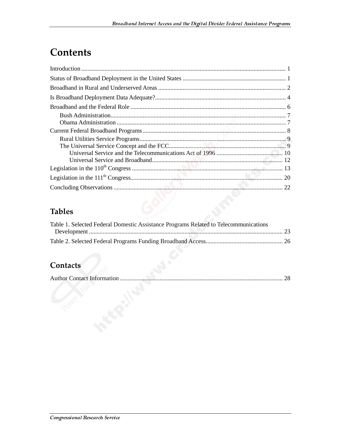## **Contents**

### **Tables**

| Table 1. Selected Federal Domestic Assistance Programs Related to Telecommunications |  |
|--------------------------------------------------------------------------------------|--|
|                                                                                      |  |
|                                                                                      |  |

### Contacts

|--|--|--|--|--|--|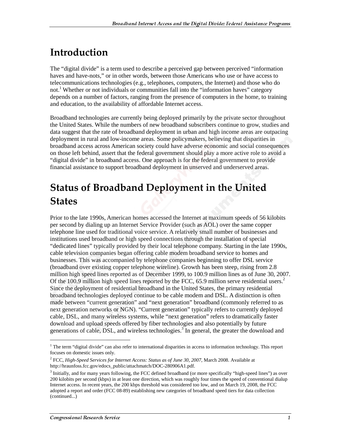## <u>Introduction</u>

The "digital divide" is a term used to describe a perceived gap between perceived "information haves and have-nots," or in other words, between those Americans who use or have access to telecommunications technologies (e.g., telephones, computers, the Internet) and those who do not.<sup>1</sup> Whether or not individuals or communities fall into the "information haves" category depends on a number of factors, ranging from the presence of computers in the home, to training and education, to the availability of affordable Internet access.

Broadband technologies are currently being deployed primarily by the private sector throughout the United States. While the numbers of new broadband subscribers continue to grow, studies and data suggest that the rate of broadband deployment in urban and high income areas are outpacing deployment in rural and low-income areas. Some policymakers, believing that disparities in broadband access across American society could have adverse economic and social consequences on those left behind, assert that the federal government should play a more active role to avoid a "digital divide" in broadband access. One approach is for the federal government to provide financial assistance to support broadband deployment in unserved and underserved areas.

## **Status of Broadband Deployment in the United States**

Prior to the late 1990s, American homes accessed the Internet at maximum speeds of 56 kilobits per second by dialing up an Internet Service Provider (such as AOL) over the same copper telephone line used for traditional voice service. A relatively small number of businesses and institutions used broadband or high speed connections through the installation of special "dedicated lines" typically provided by their local telephone company. Starting in the late 1990s, cable television companies began offering cable modem broadband service to homes and businesses. This was accompanied by telephone companies beginning to offer DSL service (broadband over existing copper telephone wireline). Growth has been steep, rising from 2.8 million high speed lines reported as of December 1999, to 100.9 million lines as of June 30, 2007. Of the 100.9 million high speed lines reported by the FCC, 65.9 million serve residential users.<sup>2</sup> Since the deployment of residential broadband in the United States, the primary residential broadband technologies deployed continue to be cable modem and DSL. A distinction is often made between "current generation" and "next generation" broadband (commonly referred to as next generation networks or NGN). "Current generation" typically refers to currently deployed cable, DSL, and many wireless systems, while "next generation" refers to dramatically faster download and upload speeds offered by fiber technologies and also potentially by future generations of cable, DSL, and wireless technologies.<sup>3</sup> In general, the greater the download and

<sup>&</sup>lt;sup>1</sup> The term "digital divide" can also refer to international disparities in access to information technology. This report focuses on domestic issues only.

<sup>2</sup> FCC, *High-Speed Services for Internet Access: Status as of June 30, 2007,* March 2008. Available at http://hraunfoss.fcc.gov/edocs\_public/attachmatch/DOC-280906A1.pdf.

<sup>&</sup>lt;sup>3</sup> Initially, and for many years following, the FCC defined broadband (or more specifically "high-speed lines") as over 200 kilobits per second (kbps) in at least one direction, which was roughly four times the speed of conventional dialup Internet access. In recent years, the 200 kbps threshold was considered too low, and on March 19, 2008, the FCC adopted a report and order (FCC 08-89) establishing new categories of broadband speed tiers for data collection (continued...)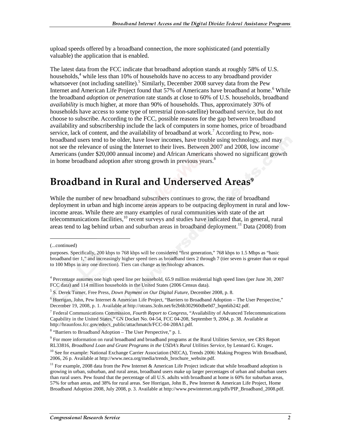upload speeds offered by a broadband connection, the more sophisticated (and potentially valuable) the application that is enabled.

The latest data from the FCC indicate that broadband adoption stands at roughly 58% of U.S. households,<sup>4</sup> while less than 10% of households have no access to any broadband provider whatsoever (not including satellite).<sup>5</sup> Similarly, December 2008 survey data from the Pew Internet and American Life Project found that 57% of Americans have broadband at home.<sup>6</sup> While the broadband *adoption* or *penetration* rate stands at close to 60% of U.S. households, broadband *availability* is much higher, at more than 90% of households. Thus, approximately 30% of households have access to some type of terrestrial (non-satellite) broadband service, but do not choose to subscribe. According to the FCC, possible reasons for the gap between broadband availability and subscribership include the lack of computers in some homes, price of broadband service, lack of content, and the availability of broadband at work.<sup>7</sup> According to Pew, nonbroadband users tend to be older, have lower incomes, have trouble using technology, and may not see the relevance of using the Internet to their lives. Between 2007 and 2008, low income Americans (under \$20,000 annual income) and African Americans showed no significant growth in home broadband adoption after strong growth in previous years. $8$ 

### Broadband in Rural and Underserved Areas<sup>9</sup>

While the number of new broadband subscribers continues to grow, the rate of broadband deployment in urban and high income areas appears to be outpacing deployment in rural and lowincome areas. While there are many examples of rural communities with state of the art telecommunications facilities, $^{10}$  recent surveys and studies have indicated that, in general, rural areas tend to lag behind urban and suburban areas in broadband deployment.<sup>11</sup> Data (2008) from

(...continued)

purposes. Specifically, 200 kbps to 768 kbps will be considered "first generation," 768 kbps to 1.5 Mbps as "basic broadband tier 1," and increasingly higher speed tiers as broadband tiers 2 through 7 (tier seven is greater than or equal to 100 Mbps in any one direction). Tiers can change as technology advances.

<sup>4</sup> Percentage assumes one high speed line per household, 65.9 million residential high speed lines (per June 30, 2007 FCC data) and 114 million households in the United States (2006 Census data).

<sup>5</sup> S. Derek Turner, Free Press, *Down Payment on Our Digital Future*, December 2008, p. 8.

<sup>6</sup> Horrigan, John, Pew Internet & American Life Project, "Barriers to Broadband Adoption – The User Perspective," December 19, 2008, p. 1. Available at http://otrans.3cdn.net/fe2b6b302960dbe0d7\_bqm6ib242.pdf.

<sup>7</sup> Federal Communications Commission, *Fourth Report to Congress*, "Availability of Advanced Telecommunications Capability in the United States," GN Docket No. 04-54, FCC 04-208, September 9, 2004, p. 38. Available at http://hraunfoss.fcc.gov/edocs\_public/attachmatch/FCC-04-208A1.pdf.

<sup>&</sup>lt;sup>8</sup> "Barriers to Broadband Adoption - The User Perspective," p. 1.

<sup>&</sup>lt;sup>9</sup> For more information on rural broadband and broadband programs at the Rural Utilities Service, see CRS Report RL33816, *Broadband Loan and Grant Programs in the USDA's Rural Utilities Service*, by Lennard G. Kruger**.**

<sup>&</sup>lt;sup>10</sup> See for example: National Exchange Carrier Association (NECA), Trends 2006: Making Progress With Broadband, 2006, 26 p. Available at http://www.neca.org/media/trends\_brochure\_website.pdf.

<sup>&</sup>lt;sup>11</sup> For example, 2008 data from the Pew Internet & American Life Project indicate that while broadband adoption is growing in urban, suburban, and rural areas, broadband users make up larger percentages of urban and suburban users than rural users. Pew found that the percentage of all U.S. adults with broadband at home is 60% for suburban areas, 57% for urban areas, and 38% for rural areas. See Horrigan, John B., Pew Internet & American Life Project, Home Broadband Adoption 2008, July 2008, p. 3. Available at http://www.pewinternet.org/pdfs/PIP\_Broadband\_2008.pdf.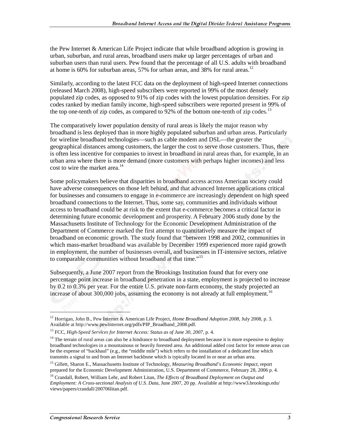the Pew Internet & American Life Project indicate that while broadband adoption is growing in urban, suburban, and rural areas, broadband users make up larger percentages of urban and suburban users than rural users. Pew found that the percentage of all U.S. adults with broadband at home is 60% for suburban areas, 57% for urban areas, and 38% for rural areas.<sup>12</sup>

Similarly, according to the latest FCC data on the deployment of high-speed Internet connections (released March 2008), high-speed subscribers were reported in 99% of the most densely populated zip codes, as opposed to 91% of zip codes with the lowest population densities. For zip codes ranked by median family income, high-speed subscribers were reported present in 99% of the top one-tenth of zip codes, as compared to 92% of the bottom one-tenth of zip codes.<sup>13</sup>

The comparatively lower population density of rural areas is likely the major reason why broadband is less deployed than in more highly populated suburban and urban areas. Particularly for wireline broadband technologies—such as cable modem and DSL—the greater the geographical distances among customers, the larger the cost to serve those customers. Thus, there is often less incentive for companies to invest in broadband in rural areas than, for example, in an urban area where there is more demand (more customers with perhaps higher incomes) and less cost to wire the market area. $14$ 

Some policymakers believe that disparities in broadband access across American society could have adverse consequences on those left behind, and that advanced Internet applications critical for businesses and consumers to engage in e-commerce are increasingly dependent on high speed broadband connections to the Internet. Thus, some say, communities and individuals without access to broadband could be at risk to the extent that e-commerce becomes a critical factor in determining future economic development and prosperity. A February 2006 study done by the Massachusetts Institute of Technology for the Economic Development Administration of the Department of Commerce marked the first attempt to quantitatively measure the impact of broadband on economic growth. The study found that "between 1998 and 2002, communities in which mass-market broadband was available by December 1999 experienced more rapid growth in employment, the number of businesses overall, and businesses in IT-intensive sectors, relative to comparable communities without broadband at that time."<sup>15</sup>

Subsequently, a June 2007 report from the Brookings Institution found that for every one percentage point increase in broadband penetration in a state, employment is projected to increase by 0.2 to 0.3% per year. For the entire U.S. private non-farm economy, the study projected an increase of about 300,000 jobs, assuming the economy is not already at full employment.<sup>16</sup>

1

<sup>12</sup> Horrigan, John B., Pew Internet & American Life Project, *Home Broadband Adoption 2008,* July 2008, p. 3. Available at http://www.pewinternet.org/pdfs/PIP\_Broadband\_2008.pdf.

<sup>13</sup> FCC, *High-Speed Services for Internet Access: Status as of June 30, 2007,* p. 4.

<sup>&</sup>lt;sup>14</sup> The terrain of rural areas can also be a hindrance to broadband deployment because it is more expensive to deploy broadband technologies in a mountainous or heavily forested area. An additional added cost factor for remote areas can be the expense of "backhaul" (e.g., the "middle mile") which refers to the installation of a dedicated line which transmits a signal to and from an Internet backbone which is typically located in or near an urban area.

<sup>15</sup> Gillett, Sharon E., Massachusetts Institute of Technology, *Measuring Broadband's Economic Impact*, report prepared for the Economic Development Administration, U.S. Department of Commerce, February 28, 2006 p. 4.

<sup>16</sup> Crandall, Robert, William Lehr, and Robert Litan, *The Effects of Broadband Deployment on Output and Employment: A Cross-sectional Analysis of U.S. Data*, June 2007, 20 pp. Available at http://www3.brookings.edu/ views/papers/crandall/200706litan.pdf.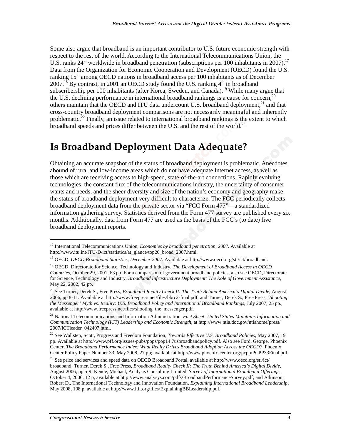Some also argue that broadband is an important contributor to U.S. future economic strength with respect to the rest of the world. According to the International Telecommunications Union, the U.S. ranks  $24<sup>th</sup>$  worldwide in broadband penetration (subscriptions per 100 inhabitants in 2007).<sup>17</sup> Data from the Organization for Economic Cooperation and Development (OECD) found the U.S. ranking  $15<sup>th</sup>$  among OECD nations in broadband access per 100 inhabitants as of December 2007.<sup>18</sup> By contrast, in 2001 an OECD study found the U.S. ranking  $4<sup>th</sup>$  in broadband subscribership per 100 inhabitants (after Korea, Sweden, and Canada).<sup>19</sup> While many argue that the U.S. declining performance in international broadband rankings is a cause for concern,<sup>20</sup> others maintain that the OECD and ITU data undercount U.S. broadband deployment, $^{21}$  and that cross-country broadband deployment comparisons are not necessarily meaningful and inherently problematic.<sup>22</sup> Finally, an issue related to international broadband rankings is the extent to which broadband speeds and prices differ between the U.S. and the rest of the world.<sup>23</sup>

### Is Broadband Deployment Data Adequate?

Obtaining an accurate snapshot of the status of broadband deployment is problematic. Anecdotes abound of rural and low-income areas which do not have adequate Internet access, as well as those which are receiving access to high-speed, state-of-the-art connections. Rapidly evolving technologies, the constant flux of the telecommunications industry, the uncertainty of consumer wants and needs, and the sheer diversity and size of the nation's economy and geography make the status of broadband deployment very difficult to characterize. The FCC periodically collects broadband deployment data from the private sector via "FCC Form 477"—a standardized information gathering survey. Statistics derived from the Form 477 survey are published every six months. Additionally, data from Form 477 are used as the basis of the FCC's (to date) five broadband deployment reports.

<sup>17</sup> International Telecommunications Union, *Economies by broadband penetration, 2007.* Available at http://www.itu.int/ITU-D/ict/statistics/at\_glance/top20\_broad\_2007.html.

<sup>18</sup> OECD, *OECD Broadband Statistics, December 2007*. Available at http://www.oecd.org/sti/ict/broadband.

<sup>19</sup> OECD, Directorate for Science, Technology and Industry, *The Development of Broadband Access in OECD Countries*, October 29, 2001, 63 pp. For a comparison of government broadband policies, also see OECD, Directorate for Science, Technology and Industry, *Broadband Infrastructure Deployment: The Role of Government Assistance*, May 22, 2002, 42 pp.

<sup>20</sup> See Turner, Derek S., Free Press, *Broadband Reality Check II: The Truth Behind America's Digital Divide*, August 2006, pp 8-11. Available at http://www.freepress.net/files/bbrc2-final.pdf; and Turner, Derek S., Free Press, *'Shooting the Messenger' Myth vs. Reality: U.S. Broadband Policy and International Broadband Rankings*, July 2007, 25 pp., available at http://www.freepress.net/files/shooting\_the\_messenger.pdf.

<sup>21</sup> National Telecommunications and Information Administration, *Fact Sheet: United States Maintains Information and Communication Technology (ICT) Leadership and Economic Strength*, at http://www.ntia.doc.gov/ntiahome/press/ 2007/ICTleader\_042407.html.

<sup>22</sup> See Wallsten, Scott, Progress and Freedom Foundation, *Towards Effective U.S. Broadband Policies*, May 2007, 19 pp. Available at http://www.pff.org/issues-pubs/pops/pop14.7usbroadbandpolicy.pdf. Also see Ford, George, Phoenix Center, *The Broadband Performance Index: What Really Drives Broadband Adoption Across the OECD?*, Phoenix Center Policy Paper Number 33, May 2008, 27 pp; available at http://www.phoenix-center.org/pcpp/PCPP33Final.pdf.

<sup>&</sup>lt;sup>23</sup> See price and services and speed data on OECD Broadband Portal, available at http://www.oecd.org/sti/ict/ broadband; Turner, Derek S., Free Press, *Broadband Reality Check II: The Truth Behind America's Digital Divide*, August 2006, pp 5-9; Kende, Michael, Analysis Consulting Limited, *Survey of International Broadband Offerings*, October 4, 2006, 12 p, available at http://www.analysys.com/pdfs/BroadbandPerformanceSurvey.pdf; and Atkinson, Robert D., The International Technology and Innovation Foundation, *Explaining International Broadband Leadership*, May 2008, 108 p, available at http://www.itif.org/files/ExplainingBBLeadership.pdf.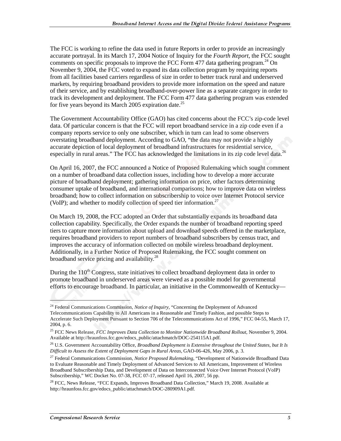The FCC is working to refine the data used in future Reports in order to provide an increasingly accurate portrayal. In its March 17, 2004 Notice of Inquiry for the *Fourth Report*, the FCC sought comments on specific proposals to improve the FCC Form 477 data gathering program.<sup>24</sup> On November 9, 2004, the FCC voted to expand its data collection program by requiring reports from all facilities based carriers regardless of size in order to better track rural and underserved markets, by requiring broadband providers to provide more information on the speed and nature of their service, and by establishing broadband-over-power line as a separate category in order to track its development and deployment. The FCC Form 477 data gathering program was extended for five years beyond its March 2005 expiration date.<sup>25</sup>

The Government Accountability Office (GAO) has cited concerns about the FCC's zip-code level data. Of particular concern is that the FCC will report broadband service in a zip code even if a company reports service to only one subscriber, which in turn can lead to some observers overstating broadband deployment. According to GAO, "the data may not provide a highly accurate depiction of local deployment of broadband infrastructures for residential service, especially in rural areas." The FCC has acknowledged the limitations in its zip code level data.<sup>26</sup>

On April 16, 2007, the FCC announced a Notice of Proposed Rulemaking which sought comment on a number of broadband data collection issues, including how to develop a more accurate picture of broadband deployment; gathering information on price, other factors determining consumer uptake of broadband, and international comparisons; how to improve data on wireless broadband; how to collect information on subscribership to voice over Internet Protocol service (VoIP); and whether to modify collection of speed tier information.<sup>27</sup>

On March 19, 2008, the FCC adopted an Order that substantially expands its broadband data collection capability. Specifically, the Order expands the number of broadband reporting speed tiers to capture more information about upload and download speeds offered in the marketplace, requires broadband providers to report numbers of broadband subscribers by census tract, and improves the accuracy of information collected on mobile wireless broadband deployment. Additionally, in a Further Notice of Proposed Rulemaking, the FCC sought comment on broadband service pricing and availability.<sup>28</sup>

During the  $110<sup>th</sup>$  Congress, state initiatives to collect broadband deployment data in order to promote broadband in underserved areas were viewed as a possible model for governmental efforts to encourage broadband. In particular, an initiative in the Commonwealth of Kentucky—

ļ

<sup>&</sup>lt;sup>24</sup> Federal Communications Commission, *Notice of Inquiry*, "Concerning the Deployment of Advanced Telecommunications Capability to All Americans in a Reasonable and Timely Fashion, and possible Steps to Accelerate Such Deployment Pursuant to Section 706 of the Telecommunications Act of 1996," FCC 04-55, March 17, 2004, p. 6.

<sup>25</sup> FCC News Release, *FCC Improves Data Collection to Monitor Nationwide Broadband Rollout*, November 9, 2004. Available at http://hraunfoss.fcc.gov/edocs\_public/attachmatch/DOC-254115A1.pdf.

<sup>&</sup>lt;sup>26</sup> U.S. Government Accountability Office, *Broadband Deployment is Extensive throughout the United States, but It Is Difficult to Assess the Extent of Deployment Gaps in Rural Areas*, GAO-06-426, May 2006, p. 3.

<sup>27</sup> Federal Communications Commission, *Notice Proposed Rulemaking*, "Development of Nationwide Broadband Data to Evaluate Reasonable and Timely Deployment of Advanced Services to All Americans, Improvement of Wireless Broadband Subscribership Data, and Development of Data on Interconnected Voice Over Internet Protocol (VoIP) Subscribership," WC Docket No. 07-38, FCC 07-17, released April 16, 2007, 56 pp.

<sup>&</sup>lt;sup>28</sup> FCC, News Release, "FCC Expands, Improves Broadband Data Collection," March 19, 2008. Available at http://hraunfoss.fcc.gov/edocs\_public/attachmatch/DOC-280909A1.pdf.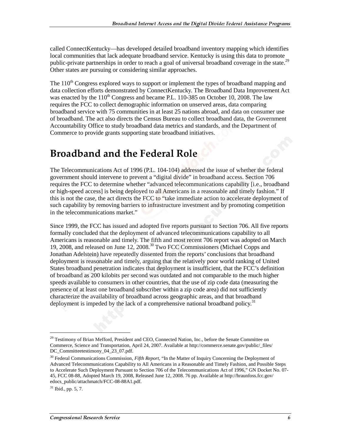called ConnectKentucky—has developed detailed broadband inventory mapping which identifies local communities that lack adequate broadband service. Kentucky is using this data to promote public-private partnerships in order to reach a goal of universal broadband coverage in the state.<sup>29</sup> Other states are pursuing or considering similar approaches.

The 110<sup>th</sup> Congress explored ways to support or implement the types of broadband mapping and data collection efforts demonstrated by ConnectKentucky. The Broadband Data Improvement Act was enacted by the  $110^{th}$  Congress and became P.L. 110-385 on October 10, 2008. The law requires the FCC to collect demographic information on unserved areas, data comparing broadband service with 75 communities in at least 25 nations abroad, and data on consumer use of broadband. The act also directs the Census Bureau to collect broadband data, the Government Accountability Office to study broadband data metrics and standards, and the Department of Commerce to provide grants supporting state broadband initiatives.

### Broadband and the Federal Role

The Telecommunications Act of 1996 (P.L. 104-104) addressed the issue of whether the federal government should intervene to prevent a "digital divide" in broadband access. Section 706 requires the FCC to determine whether "advanced telecommunications capability [i.e., broadband or high-speed access] is being deployed to all Americans in a reasonable and timely fashion." If this is not the case, the act directs the FCC to "take immediate action to accelerate deployment of such capability by removing barriers to infrastructure investment and by promoting competition in the telecommunications market."

Since 1999, the FCC has issued and adopted five reports pursuant to Section 706. All five reports formally concluded that the deployment of advanced telecommunications capability to all Americans is reasonable and timely. The fifth and most recent 706 report was adopted on March 19, 2008, and released on June 12, 2008.30 Two FCC Commissioners (Michael Copps and Jonathan Adelstein) have repeatedly dissented from the reports' conclusions that broadband deployment is reasonable and timely, arguing that the relatively poor world ranking of United States broadband penetration indicates that deployment is insufficient, that the FCC's definition of broadband as 200 kilobits per second was outdated and not comparable to the much higher speeds available to consumers in other countries, that the use of zip code data (measuring the presence of at least one broadband subscriber within a zip code area) did not sufficiently characterize the availability of broadband across geographic areas, and that broadband deployment is impeded by the lack of a comprehensive national broadband policy.<sup>31</sup>

 $\overline{a}$ 

<sup>&</sup>lt;sup>29</sup> Testimony of Brian Mefford, President and CEO, Connected Nation, Inc., before the Senate Committee on Commerce, Science and Transportation, April 24, 2007. Available at http://commerce.senate.gov/public/\_files/ DC\_Committeetestimony\_04\_23\_07.pdf.

<sup>30</sup> Federal Communications Commission, *Fifth Report*, "In the Matter of Inquiry Concerning the Deployment of Advanced Telecommunications Capability to All Americans in a Reasonable and Timely Fashion, and Possible Steps to Accelerate Such Deployment Pursuant to Section 706 of the Telecommunications Act of 1996," GN Docket No. 07- 45, FCC 08-88, Adopted March 19, 2008, Released June 12, 2008. 76 pp. Available at http://hraunfoss.fcc.gov/ edocs\_public/attachmatch/FCC-08-88A1.pdf.

 $31$  Ibid., pp. 5, 7.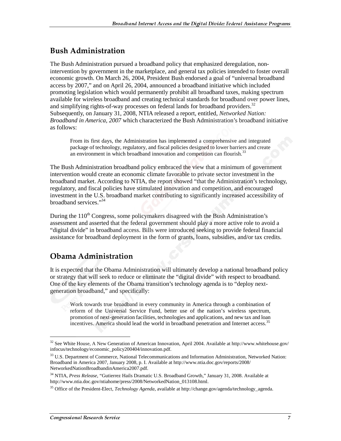### **Bush Administration**

The Bush Administration pursued a broadband policy that emphasized deregulation, nonintervention by government in the marketplace, and general tax policies intended to foster overall economic growth. On March 26, 2004, President Bush endorsed a goal of "universal broadband access by 2007," and on April 26, 2004, announced a broadband initiative which included promoting legislation which would permanently prohibit all broadband taxes, making spectrum available for wireless broadband and creating technical standards for broadband over power lines, and simplifying rights-of-way processes on federal lands for broadband providers.<sup>32</sup> Subsequently, on January 31, 2008, NTIA released a report, entitled, *Networked Nation: Broadband in America, 2007* which characterized the Bush Administration's broadband initiative as follows:

From its first days, the Administration has implemented a comprehensive and integrated package of technology, regulatory, and fiscal policies designed to lower barriers and create an environment in which broadband innovation and competition can flourish.<sup>33</sup>

The Bush Administration broadband policy embraced the view that a minimum of government intervention would create an economic climate favorable to private sector investment in the broadband market. According to NTIA, the report showed "that the Administration's technology, regulatory, and fiscal policies have stimulated innovation and competition, and encouraged investment in the U.S. broadband market contributing to significantly increased accessibility of broadband services."34

During the  $110<sup>th</sup>$  Congress, some policymakers disagreed with the Bush Administration's assessment and asserted that the federal government should play a more active role to avoid a "digital divide" in broadband access. Bills were introduced seeking to provide federal financial assistance for broadband deployment in the form of grants, loans, subsidies, and/or tax credits.

### **Obama Administration**

It is expected that the Obama Administration will ultimately develop a national broadband policy or strategy that will seek to reduce or eliminate the "digital divide" with respect to broadband. One of the key elements of the Obama transition's technology agenda is to "deploy nextgeneration broadband," and specifically:

Work towards true broadband in every community in America through a combination of reform of the Universal Service Fund, better use of the nation's wireless spectrum, promotion of next-generation facilities, technologies and applications, and new tax and loan incentives. America should lead the world in broadband penetration and Internet access.<sup>3</sup>

<sup>&</sup>lt;sup>32</sup> See White House, A New Generation of American Innovation, April 2004. Available at http://www.whitehouse.gov/ infocus/technology/economic\_policy200404/innovation.pdf.

<sup>&</sup>lt;sup>33</sup> U.S. Department of Commerce, National Telecommunications and Information Administration, Networked Nation: Broadband in America 2007, January 2008, p. I. Available at http://www.ntia.doc.gov/reports/2008/ NetworkedNationBroadbandinAmerica2007.pdf.

<sup>34</sup> NTIA, *Press Release*, "Gutierrez Hails Dramatic U.S. Broadband Growth," January 31, 2008. Available at http://www.ntia.doc.gov/ntiahome/press/2008/NetworkedNation\_013108.html.

<sup>35</sup> Office of the President-Elect, *Technology Agenda*, available at http://change.gov/agenda/technology\_agenda.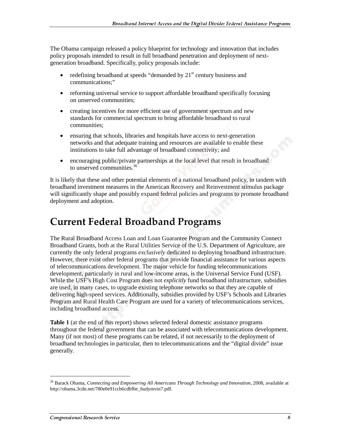The Obama campaign released a policy blueprint for technology and innovation that includes policy proposals intended to result in full broadband penetration and deployment of nextgeneration broadband. Specifically, policy proposals include:

- redefining broadband at speeds "demanded by  $21<sup>st</sup>$  century business and communications;"
- reforming universal service to support affordable broadband specifically focusing on unserved communities;
- creating incentives for more efficient use of government spectrum and new standards for commercial spectrum to bring affordable broadband to rural communities;
- ensuring that schools, libraries and hospitals have access to next-generation networks and that adequate training and resources are available to enable these institutions to take full advantage of broadband connectivity; and
- encouraging public/private partnerships at the local level that result in broadband to unserved communities.<sup>36</sup>

It is likely that these and other potential elements of a national broadband policy, in tandem with broadband investment measures in the American Recovery and Reinvestment stimulus package will significantly shape and possibly expand federal policies and programs to promote broadband deployment and adoption.

### **Current Federal Broadband Programs**

The Rural Broadband Access Loan and Loan Guarantee Program and the Community Connect Broadband Grants, both at the Rural Utilities Service of the U.S. Department of Agriculture, are currently the only federal programs *exclusively* dedicated to deploying broadband infrastructure. However, there exist other federal programs that provide financial assistance for various aspects of telecommunications development. The major vehicle for funding telecommunications development, particularly in rural and low-income areas, is the Universal Service Fund (USF). While the USF's High Cost Program does not *explicitly* fund broadband infrastructure, subsidies are used, in many cases, to upgrade existing telephone networks so that they are capable of delivering high-speed services. Additionally, subsidies provided by USF's Schools and Libraries Program and Rural Health Care Program are used for a variety of telecommunications services, including broadband access.

**Table 1** (at the end of this report) shows selected federal domestic assistance programs throughout the federal government that can be associated with telecommunications development. Many (if not most) of these programs can be related, if not necessarily to the deployment of broadband technologies in particular, then to telecommunications and the "digital divide" issue generally.

<sup>36</sup> Barack Obama, *Connecting and Empowering All Americans Through Technology and Innovation*, 2008, available at http://obama.3cdn.net/780e0e91ccb6cdbf6e\_6udymvin7.pdf.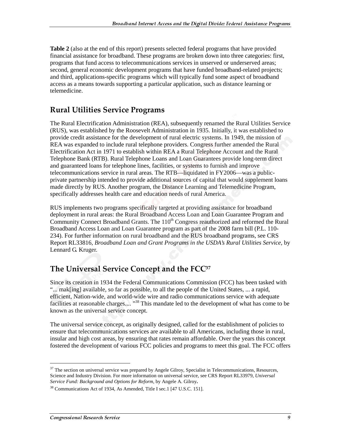**Table 2** (also at the end of this report) presents selected federal programs that have provided financial assistance for broadband. These programs are broken down into three categories: first, programs that fund access to telecommunications services in unserved or underserved areas; second, general economic development programs that have funded broadband-related projects; and third, applications-specific programs which will typically fund some aspect of broadband access as a means towards supporting a particular application, such as distance learning or telemedicine.

### **Rural Utilities Service Programs**

The Rural Electrification Administration (REA), subsequently renamed the Rural Utilities Service (RUS), was established by the Roosevelt Administration in 1935. Initially, it was established to provide credit assistance for the development of rural electric systems. In 1949, the mission of REA was expanded to include rural telephone providers. Congress further amended the Rural Electrification Act in 1971 to establish within REA a Rural Telephone Account and the Rural Telephone Bank (RTB). Rural Telephone Loans and Loan Guarantees provide long-term direct and guaranteed loans for telephone lines, facilities, or systems to furnish and improve telecommunications service in rural areas. The RTB—liquidated in FY2006—was a publicprivate partnership intended to provide additional sources of capital that would supplement loans made directly by RUS. Another program, the Distance Learning and Telemedicine Program, specifically addresses health care and education needs of rural America.

RUS implements two programs specifically targeted at providing assistance for broadband deployment in rural areas: the Rural Broadband Access Loan and Loan Guarantee Program and Community Connect Broadband Grants. The  $110<sup>th</sup>$  Congress reauthorized and reformed the Rural Broadband Access Loan and Loan Guarantee program as part of the 2008 farm bill (P.L. 110- 234). For further information on rural broadband and the RUS broadband programs, see CRS Report RL33816, *Broadband Loan and Grant Programs in the USDA's Rural Utilities Service*, by Lennard G. Kruger.

### The Universal Service Concept and the FCC $^{\scriptscriptstyle 37}$

Since its creation in 1934 the Federal Communications Commission (FCC) has been tasked with "... mak[ing] available, so far as possible, to all the people of the United States, ... a rapid, efficient, Nation-wide, and world-wide wire and radio communications service with adequate facilities at reasonable charges.... "<sup>38</sup> This mandate led to the development of what has come to be known as the universal service concept.

The universal service concept, as originally designed, called for the establishment of policies to ensure that telecommunications services are available to all Americans, including those in rural, insular and high cost areas, by ensuring that rates remain affordable. Over the years this concept fostered the development of various FCC policies and programs to meet this goal. The FCC offers

 $37$  The section on universal service was prepared by Angele Gilroy, Specialist in Telecommunications, Resources, Science and Industry Division. For more information on universal service, see CRS Report RL33979, *Universal Service Fund: Background and Options for Reform*, by Angele A. Gilroy**.**

<sup>&</sup>lt;sup>38</sup> Communications Act of 1934, As Amended, Title I sec.1 [47 U.S.C. 151].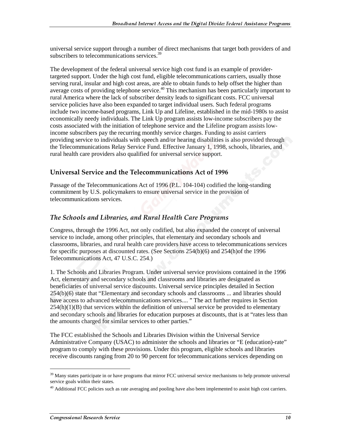universal service support through a number of direct mechanisms that target both providers of and subscribers to telecommunications services.<sup>39</sup>

The development of the federal universal service high cost fund is an example of providertargeted support. Under the high cost fund, eligible telecommunications carriers, usually those serving rural, insular and high cost areas, are able to obtain funds to help offset the higher than average costs of providing telephone service.<sup>40</sup> This mechanism has been particularly important to rural America where the lack of subscriber density leads to significant costs. FCC universal service policies have also been expanded to target individual users. Such federal programs include two income-based programs, Link Up and Lifeline, established in the mid-1980s to assist economically needy individuals. The Link Up program assists low-income subscribers pay the costs associated with the initiation of telephone service and the Lifeline program assists lowincome subscribers pay the recurring monthly service charges. Funding to assist carriers providing service to individuals with speech and/or hearing disabilities is also provided through the Telecommunications Relay Service Fund. Effective January 1, 1998, schools, libraries, and rural health care providers also qualified for universal service support.

#### Universal Service and the Telecommunications Act of 1996

Passage of the Telecommunications Act of 1996 (P.L. 104-104) codified the long-standing commitment by U.S. policymakers to ensure universal service in the provision of telecommunications services.

#### The Schools and Libraries, and Rural Health Care Programs

Congress, through the 1996 Act, not only codified, but also expanded the concept of universal service to include, among other principles, that elementary and secondary schools and classrooms, libraries, and rural health care providers have access to telecommunications services for specific purposes at discounted rates. (See Sections 254(b)(6) and 254(h)of the 1996 Telecommunications Act, 47 U.S.C. 254.)

1. The Schools and Libraries Program. Under universal service provisions contained in the 1996 Act, elementary and secondary schools and classrooms and libraries are designated as beneficiaries of universal service discounts. Universal service principles detailed in Section 254(b)(6) state that "Elementary and secondary schools and classrooms ... and libraries should have access to advanced telecommunications services.... " The act further requires in Section  $254(h)(1)(B)$  that services within the definition of universal service be provided to elementary and secondary schools and libraries for education purposes at discounts, that is at "rates less than the amounts charged for similar services to other parties."

The FCC established the Schools and Libraries Division within the Universal Service Administrative Company (USAC) to administer the schools and libraries or "E (education)-rate" program to comply with these provisions. Under this program, eligible schools and libraries receive discounts ranging from 20 to 90 percent for telecommunications services depending on

<sup>&</sup>lt;sup>39</sup> Many states participate in or have programs that mirror FCC universal service mechanisms to help promote universal service goals within their states.

 $40$  Additional FCC policies such as rate averaging and pooling have also been implemented to assist high cost carriers.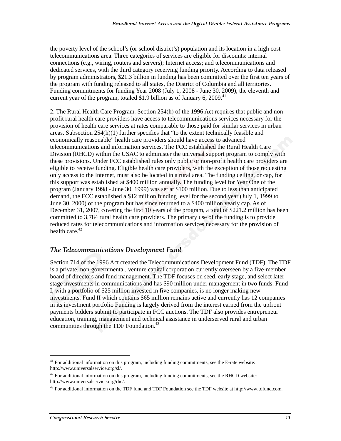the poverty level of the school's (or school district's) population and its location in a high cost telecommunications area. Three categories of services are eligible for discounts: internal connections (e.g., wiring, routers and servers); Internet access; and telecommunications and dedicated services, with the third category receiving funding priority. According to data released by program administrators, \$21.3 billion in funding has been committed over the first ten years of the program with funding released to all states, the District of Columbia and all territories. Funding commitments for funding Year 2008 (July 1, 2008 - June 30, 2009), the eleventh and current year of the program, totaled \$1.9 billion as of January 6, 2009.<sup>41</sup>

2. The Rural Health Care Program. Section 254(h) of the 1996 Act requires that public and nonprofit rural health care providers have access to telecommunications services necessary for the provision of health care services at rates comparable to those paid for similar services in urban areas. Subsection 254(h)(1) further specifies that "to the extent technically feasible and economically reasonable" health care providers should have access to advanced telecommunications and information services. The FCC established the Rural Health Care Division (RHCD) within the USAC to administer the universal support program to comply with these provisions. Under FCC established rules only public or non-profit health care providers are eligible to receive funding. Eligible health care providers, with the exception of those requesting only access to the Internet, must also be located in a rural area. The funding ceiling, or cap, for this support was established at \$400 million annually. The funding level for Year One of the program (January 1998 - June 30, 1999) was set at \$100 million. Due to less than anticipated demand, the FCC established a \$12 million funding level for the second year (July 1, 1999 to June 30, 2000) of the program but has since returned to a \$400 million yearly cap. As of December 31, 2007, covering the first 10 years of the program, a total of \$221.2 million has been committed to 3,784 rural health care providers. The primary use of the funding is to provide reduced rates for telecommunications and information services necessary for the provision of health care. $42$ 

#### The Telecommunications Development Fund

Section 714 of the 1996 Act created the Telecommunications Development Fund (TDF). The TDF is a private, non-governmental, venture capital corporation currently overseen by a five-member board of directors and fund management. The TDF focuses on seed, early stage, and select later stage investments in communications and has \$90 million under management in two funds. Fund I, with a portfolio of \$25 million invested in five companies, is no longer making new investments. Fund II which contains \$65 million remains active and currently has 12 companies in its investment portfolio Funding is largely derived from the interest earned from the upfront payments bidders submit to participate in FCC auctions. The TDF also provides entrepreneur education, training, management and technical assistance in underserved rural and urban communities through the TDF Foundation.<sup>43</sup>

<sup>&</sup>lt;sup>41</sup> For additional information on this program, including funding commitments, see the E-rate website: http://www.universalservice.org/sl/.

<sup>&</sup>lt;sup>42</sup> For additional information on this program, including funding commitments, see the RHCD website: http://www.universalservice.org/rhc/.

<sup>&</sup>lt;sup>43</sup> For additional information on the TDF fund and TDF Foundation see the TDF website at http://www.tdfund.com.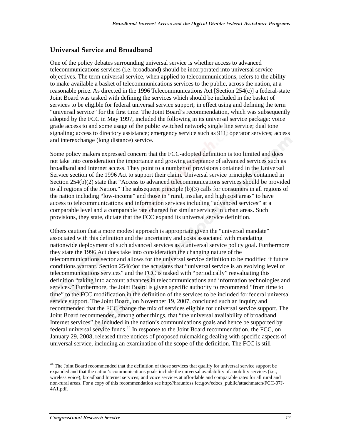#### **Universal Service and Broadband**

One of the policy debates surrounding universal service is whether access to advanced telecommunications services (i.e. broadband) should be incorporated into universal service objectives. The term universal service, when applied to telecommunications, refers to the ability to make available a basket of telecommunications services to the public, across the nation, at a reasonable price. As directed in the 1996 Telecommunications Act [Section 254(c)] a federal-state Joint Board was tasked with defining the services which should be included in the basket of services to be eligible for federal universal service support; in effect using and defining the term "universal service" for the first time. The Joint Board's recommendation, which was subsequently adopted by the FCC in May 1997, included the following in its universal service package: voice grade access to and some usage of the public switched network; single line service; dual tone signaling; access to directory assistance; emergency service such as 911; operator services; access and interexchange (long distance) service.

Some policy makers expressed concern that the FCC-adopted definition is too limited and does not take into consideration the importance and growing acceptance of advanced services such as broadband and Internet access. They point to a number of provisions contained in the Universal Service section of the 1996 Act to support their claim. Universal service principles contained in Section 254(b)(2) state that "Access to advanced telecommunications services should be provided to all regions of the Nation." The subsequent principle  $(b)(3)$  calls for consumers in all regions of the nation including "low-income" and those in "rural, insular, and high cost areas" to have access to telecommunications and information services including "advanced services" at a comparable level and a comparable rate charged for similar services in urban areas. Such provisions, they state, dictate that the FCC expand its universal service definition.

Others caution that a more modest approach is appropriate given the "universal mandate" associated with this definition and the uncertainty and costs associated with mandating nationwide deployment of such advanced services as a universal service policy goal. Furthermore they state the 1996 Act does take into consideration the changing nature of the telecommunications sector and allows for the universal service definition to be modified if future conditions warrant. Section 254(c)of the act states that "universal service is an evolving level of telecommunications services" and the FCC is tasked with "periodically" reevaluating this definition "taking into account advances in telecommunications and information technologies and services." Furthermore, the Joint Board is given specific authority to recommend "from time to time" to the FCC modification in the definition of the services to be included for federal universal service support. The Joint Board, on November 19, 2007, concluded such an inquiry and recommended that the FCC change the mix of services eligible for universal service support. The Joint Board recommended, among other things, that "the universal availability of broadband Internet services" be included in the nation's communications goals and hence be supported by federal universal service funds.<sup>44</sup> In response to the Joint Board recommendation, the FCC, on January 29, 2008, released three notices of proposed rulemaking dealing with specific aspects of universal service, including an examination of the scope of the definition. The FCC is still

<sup>&</sup>lt;sup>44</sup> The Joint Board recommended that the definition of those services that qualify for universal service support be expanded and that the nation's communications goals include the universal availability of: mobility services (i.e., wireless voice); broadband Internet services; and voice services at affordable and comparable rates for all rural and non-rural areas. For a copy of this recommendation see http://hraunfoss.fcc.gov/edocs\_public/attachmatch/FCC-07J-4A1.pdf.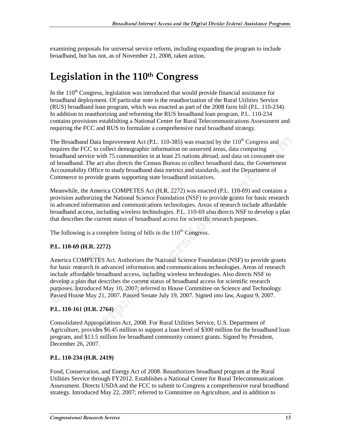examining proposals for universal service reform, including expanding the program to include broadband, but has not, as of November 21, 2008, taken action.

## Legislation in the 110th Congress

In the  $110<sup>th</sup>$  Congress, legislation was introduced that would provide financial assistance for broadband deployment. Of particular note is the reauthorization of the Rural Utilities Service (RUS) broadband loan program, which was enacted as part of the 2008 farm bill (P.L. 110-234). In addition to reauthorizing and reforming the RUS broadband loan program, P.L. 110-234 contains provisions establishing a National Center for Rural Telecommunications Assessment and requiring the FCC and RUS to formulate a comprehensive rural broadband strategy.

The Broadband Data Improvement Act (P.L. 110-385) was enacted by the  $110<sup>th</sup>$  Congress and requires the FCC to collect demographic information on unserved areas, data comparing broadband service with 75 communities in at least 25 nations abroad, and data on consumer use of broadband. The act also directs the Census Bureau to collect broadband data, the Government Accountability Office to study broadband data metrics and standards, and the Department of Commerce to provide grants supporting state broadband initiatives.

Meanwhile, the America COMPETES Act (H.R. 2272) was enacted (P.L. 110-69) and contains a provision authorizing the National Science Foundation (NSF) to provide grants for basic research in advanced information and communications technologies. Areas of research include affordable broadband access, including wireless technologies. P.L. 110-69 also directs NSF to develop a plan that describes the current status of broadband access for scientific research purposes.

The following is a complete listing of bills in the  $110<sup>th</sup>$  Congress.

#### **P.L. 110-69 (H.R. 2272)**

America COMPETES Act. Authorizes the National Science Foundation (NSF) to provide grants for basic research in advanced information and communications technologies. Areas of research include affordable broadband access, including wireless technologies. Also directs NSF to develop a plan that describes the current status of broadband access for scientific research purposes. Introduced May 10, 2007; referred to House Committee on Science and Technology. Passed House May 21, 2007. Passed Senate July 19, 2007. Signed into law, August 9, 2007.

#### **P.L. 110-161 (H.R. 2764)**

Consolidated Appropriations Act, 2008. For Rural Utilities Service, U.S. Department of Agriculture, provides \$6.45 million to support a loan level of \$300 million for the broadband loan program, and \$13.5 million for broadband community connect grants. Signed by President, December 26, 2007.

#### **P.L. 110-234 (H.R. 2419)**

Food, Conservation, and Energy Act of 2008. Reauthorizes broadband program at the Rural Utilities Service through FY2012. Establishes a National Center for Rural Telecommunications Assessment. Directs USDA and the FCC to submit to Congress a comprehensive rural broadband strategy. Introduced May 22, 2007; referred to Committee on Agriculture, and in addition to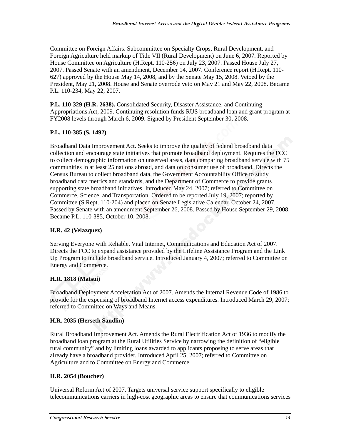Committee on Foreign Affairs. Subcommittee on Specialty Crops, Rural Development, and Foreign Agriculture held markup of Title VII (Rural Development) on June 6, 2007. Reported by House Committee on Agriculture (H.Rept. 110-256) on July 23, 2007. Passed House July 27, 2007. Passed Senate with an amendment, December 14, 2007. Conference report (H.Rept. 110- 627) approved by the House May 14, 2008, and by the Senate May 15, 2008. Vetoed by the President, May 21, 2008. House and Senate overrode veto on May 21 and May 22, 2008. Became P.L. 110-234, May 22, 2007.

**P.L. 110-329 (H.R. 2638).** Consolidated Security, Disaster Assistance, and Continuing Appropriations Act, 2009. Continuing resolution funds RUS broadband loan and grant program at FY2008 levels through March 6, 2009. Signed by President September 30, 2008.

#### **P.L. 110-385 (S. 1492)**

Broadband Data Improvement Act. Seeks to improve the quality of federal broadband data collection and encourage state initiatives that promote broadband deployment. Requires the FCC to collect demographic information on unserved areas, data comparing broadband service with 75 communities in at least 25 nations abroad, and data on consumer use of broadband. Directs the Census Bureau to collect broadband data, the Government Accountability Office to study broadband data metrics and standards, and the Department of Commerce to provide grants supporting state broadband initiatives. Introduced May 24, 2007; referred to Committee on Commerce, Science, and Transportation. Ordered to be reported July 19, 2007; reported by Committee (S.Rept. 110-204) and placed on Senate Legislative Calendar, October 24, 2007. Passed by Senate with an amendment September 26, 2008. Passed by House September 29, 2008. Became P.L. 110-385, October 10, 2008.

#### **H.R. 42 (Velazquez)**

Serving Everyone with Reliable, Vital Internet, Communications and Education Act of 2007. Directs the FCC to expand assistance provided by the Lifeline Assistance Program and the Link Up Program to include broadband service. Introduced January 4, 2007; referred to Committee on Energy and Commerce.

#### **H.R. 1818 (Matsui)**

Broadband Deployment Acceleration Act of 2007. Amends the Internal Revenue Code of 1986 to provide for the expensing of broadband Internet access expenditures. Introduced March 29, 2007; referred to Committee on Ways and Means.

#### **H.R. 2035 (Herseth Sandlin)**

Rural Broadband Improvement Act. Amends the Rural Electrification Act of 1936 to modify the broadband loan program at the Rural Utilities Service by narrowing the definition of "eligible rural community" and by limiting loans awarded to applicants proposing to serve areas that already have a broadband provider. Introduced April 25, 2007; referred to Committee on Agriculture and to Committee on Energy and Commerce.

#### **H.R. 2054 (Boucher)**

Universal Reform Act of 2007. Targets universal service support specifically to eligible telecommunications carriers in high-cost geographic areas to ensure that communications services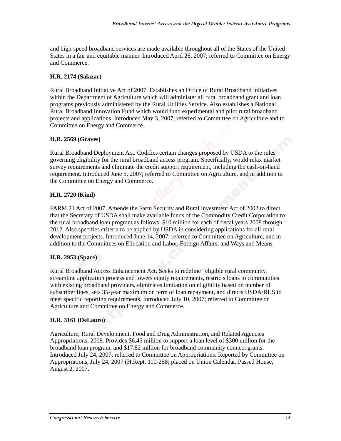and high-speed broadband services are made available throughout all of the States of the United States in a fair and equitable manner. Introduced April 26, 2007; referred to Committee on Energy and Commerce.

#### **H.R. 2174 (Salazar)**

Rural Broadband Initiative Act of 2007. Establishes an Office of Rural Broadband Initiatives within the Department of Agriculture which will administer all rural broadband grant and loan programs previously administered by the Rural Utilities Service. Also establishes a National Rural Broadband Innovation Fund which would fund experimental and pilot rural broadband projects and applications. Introduced May 3, 2007; referred to Committee on Agriculture and to Committee on Energy and Commerce.

#### **H.R. 2569 (Graves)**

Rural Broadband Deployment Act. Codifies certain changes proposed by USDA to the rules governing eligibility for the rural broadband access program. Specifically, would relax market survey requirements and eliminate the credit support requirement, including the cash-on-hand requirement. Introduced June 5, 2007; referred to Committee on Agriculture, and in addition to the Committee on Energy and Commerce.

#### **H.R. 2720 (Kind)**

FARM 21 Act of 2007. Amends the Farm Security and Rural Investment Act of 2002 to direct that the Secretary of USDA shall make available funds of the Commodity Credit Corporation to the rural broadband loan program as follows: \$10 million for each of fiscal years 2008 through 2012. Also specifies criteria to be applied by USDA in considering applications for all rural development projects. Introduced June 14, 2007; referred to Committee on Agriculture, and in addition to the Committees on Education and Labor, Foreign Affairs, and Ways and Means.

#### **H.R. 2953 (Space)**

Rural Broadband Access Enhancement Act. Seeks to redefine "eligible rural community, streamline application process and lowers equity requirements, restricts loans to communities with existing broadband providers, eliminates limitation on eligibility based on number of subscriber lines, sets 35-year maximum on term of loan repayment, and directs USDA/RUS to meet specific reporting requirements. Introduced July 10, 2007; referred to Committee on Agriculture and Committee on Energy and Commerce.

#### **H.R. 3161 (DeLauro)**

Agriculture, Rural Development, Food and Drug Administration, and Related Agencies Appropriations, 2008. Provides \$6.45 million to support a loan level of \$300 million for the broadband loan program, and \$17.82 million for broadband community connect grants. Introduced July 24, 2007; referred to Committee on Appropriations. Reported by Committee on Appropriations, July 24, 2007 (H.Rept. 110-258; placed on Union Calendar. Passed House, August 2, 2007.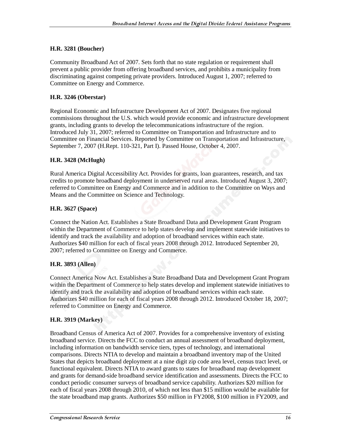#### **H.R. 3281 (Boucher)**

Community Broadband Act of 2007. Sets forth that no state regulation or requirement shall prevent a public provider from offering broadband services, and prohibits a municipality from discriminating against competing private providers. Introduced August 1, 2007; referred to Committee on Energy and Commerce.

#### **H.R. 3246 (Oberstar)**

Regional Economic and Infrastructure Development Act of 2007. Designates five regional commissions throughout the U.S. which would provide economic and infrastructure development grants, including grants to develop the telecommunications infrastructure of the region. Introduced July 31, 2007; referred to Committee on Transportation and Infrastructure and to Committee on Financial Services. Reported by Committee on Transportation and Infrastructure, September 7, 2007 (H.Rept. 110-321, Part I). Passed House, October 4, 2007.

#### **H.R. 3428 (McHugh)**

Rural America Digital Accessibility Act. Provides for grants, loan guarantees, research, and tax credits to promote broadband deployment in underserved rural areas. Introduced August 3, 2007; referred to Committee on Energy and Commerce and in addition to the Committee on Ways and Means and the Committee on Science and Technology.

#### **H.R. 3627 (Space)**

Connect the Nation Act. Establishes a State Broadband Data and Development Grant Program within the Department of Commerce to help states develop and implement statewide initiatives to identify and track the availability and adoption of broadband services within each state. Authorizes \$40 million for each of fiscal years 2008 through 2012. Introduced September 20, 2007; referred to Committee on Energy and Commerce.

#### **H.R. 3893 (Allen)**

Connect America Now Act. Establishes a State Broadband Data and Development Grant Program within the Department of Commerce to help states develop and implement statewide initiatives to identify and track the availability and adoption of broadband services within each state. Authorizes \$40 million for each of fiscal years 2008 through 2012. Introduced October 18, 2007; referred to Committee on Energy and Commerce.

#### **H.R. 3919 (Markey)**

Broadband Census of America Act of 2007. Provides for a comprehensive inventory of existing broadband service. Directs the FCC to conduct an annual assessment of broadband deployment, including information on bandwidth service tiers, types of technology, and international comparisons. Directs NTIA to develop and maintain a broadband inventory map of the United States that depicts broadband deployment at a nine digit zip code area level, census tract level, or functional equivalent. Directs NTIA to award grants to states for broadband map development and grants for demand-side broadband service identification and assessments. Directs the FCC to conduct periodic consumer surveys of broadband service capability. Authorizes \$20 million for each of fiscal years 2008 through 2010, of which not less than \$15 million would be available for the state broadband map grants. Authorizes \$50 million in FY2008, \$100 million in FY2009, and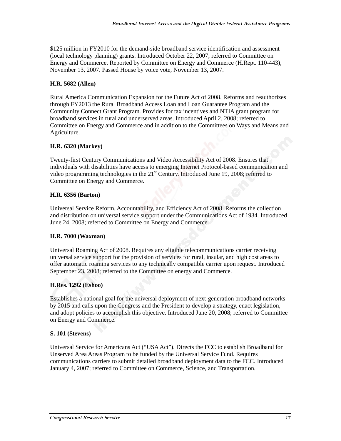\$125 million in FY2010 for the demand-side broadband service identification and assessment (local technology planning) grants. Introduced October 22, 2007; referred to Committee on Energy and Commerce. Reported by Committee on Energy and Commerce (H.Rept. 110-443), November 13, 2007. Passed House by voice vote, November 13, 2007.

#### **H.R. 5682 (Allen)**

Rural America Communication Expansion for the Future Act of 2008. Reforms and reauthorizes through FY2013 the Rural Broadband Access Loan and Loan Guarantee Program and the Community Connect Grant Program. Provides for tax incentives and NTIA grant program for broadband services in rural and underserved areas. Introduced April 2, 2008; referred to Committee on Energy and Commerce and in addition to the Committees on Ways and Means and Agriculture.

#### **H.R. 6320 (Markey)**

Twenty-first Century Communications and Video Accessibility Act of 2008. Ensures that individuals with disabilities have access to emerging Internet Protocol-based communication and video programming technologies in the  $21<sup>st</sup>$  Century. Introduced June 19, 2008; referred to Committee on Energy and Commerce.

#### **H.R. 6356 (Barton)**

Universal Service Reform, Accountability, and Efficiency Act of 2008. Reforms the collection and distribution on universal service support under the Communications Act of 1934. Introduced June 24, 2008; referred to Committee on Energy and Commerce.

#### **H.R. 7000 (Waxman)**

Universal Roaming Act of 2008. Requires any eligible telecommunications carrier receiving universal service support for the provision of services for rural, insular, and high cost areas to offer automatic roaming services to any technically compatible carrier upon request. Introduced September 23, 2008; referred to the Committee on energy and Commerce.

#### **H.Res. 1292 (Eshoo)**

Establishes a national goal for the universal deployment of next-generation broadband networks by 2015 and calls upon the Congress and the President to develop a strategy, enact legislation, and adopt policies to accomplish this objective. Introduced June 20, 2008; referred to Committee on Energy and Commerce.

#### **S. 101 (Stevens)**

Universal Service for Americans Act ("USA Act"). Directs the FCC to establish Broadband for Unserved Area Areas Program to be funded by the Universal Service Fund. Requires communications carriers to submit detailed broadband deployment data to the FCC. Introduced January 4, 2007; referred to Committee on Commerce, Science, and Transportation.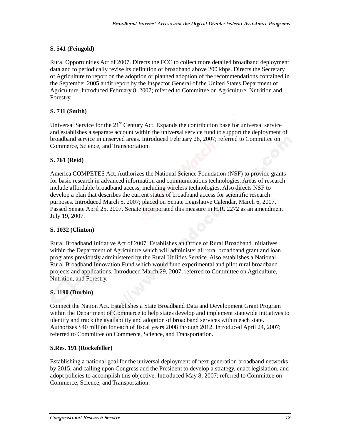#### **S. 541 (Feingold)**

Rural Opportunities Act of 2007. Directs the FCC to collect more detailed broadband deployment data and to periodically revise its definition of broadband above 200 kbps. Directs the Secretary of Agriculture to report on the adoption or planned adoption of the recommendations contained in the September 2005 audit report by the Inspector General of the United States Department of Agriculture. Introduced February 8, 2007; referred to Committee on Agriculture, Nutrition and Forestry.

#### **S. 711 (Smith)**

Universal Service for the  $21<sup>st</sup>$  Century Act. Expands the contribution base for universal service and establishes a separate account within the universal service fund to support the deployment of broadband service in unserved areas. Introduced February 28, 2007; referred to Committee on Commerce, Science, and Transportation.

#### **S. 761 (Reid)**

America COMPETES Act. Authorizes the National Science Foundation (NSF) to provide grants for basic research in advanced information and communications technologies. Areas of research include affordable broadband access, including wireless technologies. Also directs NSF to develop a plan that describes the current status of broadband access for scientific research purposes. Introduced March 5, 2007; placed on Senate Legislative Calendar, March 6, 2007. Passed Senate April 25, 2007. Senate incorporated this measure in H.R. 2272 as an amendment July 19, 2007.

#### **S. 1032 (Clinton)**

Rural Broadband Initiative Act of 2007. Establishes an Office of Rural Broadband Initiatives within the Department of Agriculture which will administer all rural broadband grant and loan programs previously administered by the Rural Utilities Service. Also establishes a National Rural Broadband Innovation Fund which would fund experimental and pilot rural broadband projects and applications. Introduced March 29, 2007; referred to Committee on Agriculture, Nutrition, and Forestry.

#### **S. 1190 (Durbin)**

Connect the Nation Act. Establishes a State Broadband Data and Development Grant Program within the Department of Commerce to help states develop and implement statewide initiatives to identify and track the availability and adoption of broadband services within each state. Authorizes \$40 million for each of fiscal years 2008 through 2012. Introduced April 24, 2007; referred to Committee on Commerce, Science, and Transportation.

#### **S.Res. 191 (Rockefeller)**

Establishing a national goal for the universal deployment of next-generation broadband networks by 2015, and calling upon Congress and the President to develop a strategy, enact legislation, and adopt policies to accomplish this objective. Introduced May 8, 2007; referred to Committee on Commerce, Science, and Transportation.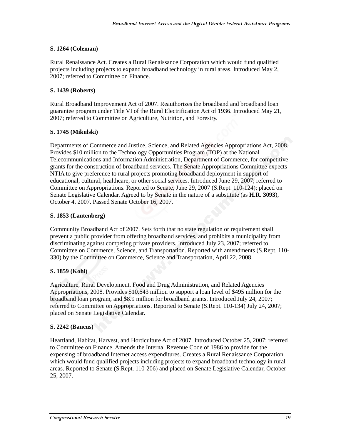#### **S. 1264 (Coleman)**

Rural Renaissance Act. Creates a Rural Renaissance Corporation which would fund qualified projects including projects to expand broadband technology in rural areas. Introduced May 2, 2007; referred to Committee on Finance.

#### **S. 1439 (Roberts)**

Rural Broadband Improvement Act of 2007. Reauthorizes the broadband and broadband loan guarantee program under Title VI of the Rural Electrification Act of 1936. Introduced May 21, 2007; referred to Committee on Agriculture, Nutrition, and Forestry.

#### **S. 1745 (Mikulski)**

Departments of Commerce and Justice, Science, and Related Agencies Appropriations Act, 2008. Provides \$10 million to the Technology Opportunities Program (TOP) at the National Telecommunications and Information Administration, Department of Commerce, for competitive grants for the construction of broadband services. The Senate Appropriations Committee expects NTIA to give preference to rural projects promoting broadband deployment in support of educational, cultural, healthcare, or other social services. Introduced June 29, 2007; referred to Committee on Appropriations. Reported to Senate, June 29, 2007 (S.Rept. 110-124); placed on Senate Legislative Calendar. Agreed to by Senate in the nature of a substitute (as **H.R. 3093**), October 4, 2007. Passed Senate October 16, 2007.

#### **S. 1853 (Lautenberg)**

Community Broadband Act of 2007. Sets forth that no state regulation or requirement shall prevent a public provider from offering broadband services, and prohibits a municipality from discriminating against competing private providers. Introduced July 23, 2007; referred to Committee on Commerce, Science, and Transportation. Reported with amendments (S.Rept. 110- 330) by the Committee on Commerce, Science and Transportation, April 22, 2008.

#### **S. 1859 (Kohl)**

Agriculture, Rural Development, Food and Drug Administration, and Related Agencies Appropriations, 2008. Provides \$10.643 million to support a loan level of \$495 million for the broadband loan program, and \$8.9 million for broadband grants. Introduced July 24, 2007; referred to Committee on Appropriations. Reported to Senate (S.Rept. 110-134) July 24, 2007; placed on Senate Legislative Calendar.

#### **S. 2242 (Baucus)**

Heartland, Habitat, Harvest, and Horticulture Act of 2007. Introduced October 25, 2007; referred to Committee on Finance. Amends the Internal Revenue Code of 1986 to provide for the expensing of broadband Internet access expenditures. Creates a Rural Renaissance Corporation which would fund qualified projects including projects to expand broadband technology in rural areas. Reported to Senate (S.Rept. 110-206) and placed on Senate Legislative Calendar, October 25, 2007.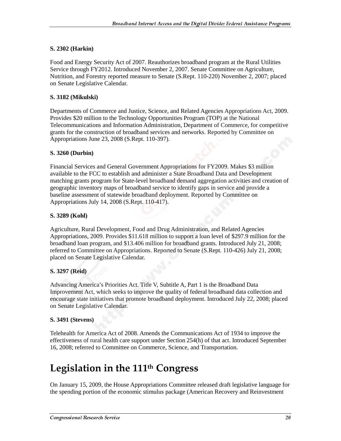#### **S. 2302 (Harkin)**

Food and Energy Security Act of 2007. Reauthorizes broadband program at the Rural Utilities Service through FY2012. Introduced November 2, 2007. Senate Committee on Agriculture, Nutrition, and Forestry reported measure to Senate (S.Rept. 110-220) November 2, 2007; placed on Senate Legislative Calendar.

#### **S. 3182 (Mikulski)**

Departments of Commerce and Justice, Science, and Related Agencies Appropriations Act, 2009. Provides \$20 million to the Technology Opportunities Program (TOP) at the National Telecommunications and Information Administration, Department of Commerce, for competitive grants for the construction of broadband services and networks. Reported by Committee on Appropriations June 23, 2008 (S.Rept. 110-397).

#### **S. 3260 (Durbin)**

Financial Services and General Government Appropriations for FY2009. Makes \$3 million available to the FCC to establish and administer a State Broadband Data and Development matching grants program for State-level broadband demand aggregation activities and creation of geographic inventory maps of broadband service to identify gaps in service and provide a baseline assessment of statewide broadband deployment. Reported by Committee on Appropriations July 14, 2008 (S.Rept. 110-417).

#### **S. 3289 (Kohl)**

Agriculture, Rural Development, Food and Drug Administration, and Related Agencies Appropriations, 2009. Provides \$11.618 million to support a loan level of \$297.9 million for the broadband loan program, and \$13.406 million for broadband grants. Introduced July 21, 2008; referred to Committee on Appropriations. Reported to Senate (S.Rept. 110-426) July 21, 2008; placed on Senate Legislative Calendar.

#### **S. 3297 (Reid)**

Advancing America's Priorities Act. Title V, Subtitle A, Part 1 is the Broadband Data Improvement Act, which seeks to improve the quality of federal broadband data collection and encourage state initiatives that promote broadband deployment. Introduced July 22, 2008; placed on Senate Legislative Calendar.

#### **S. 3491 (Stevens)**

Telehealth for America Act of 2008. Amends the Communications Act of 1934 to improve the effectiveness of rural health care support under Section 254(h) of that act. Introduced September 16, 2008; referred to Committee on Commerce, Science, and Transportation.

### Legislation in the 111th Congress

On January 15, 2009, the House Appropriations Committee released draft legislative language for the spending portion of the economic stimulus package (American Recovery and Reinvestment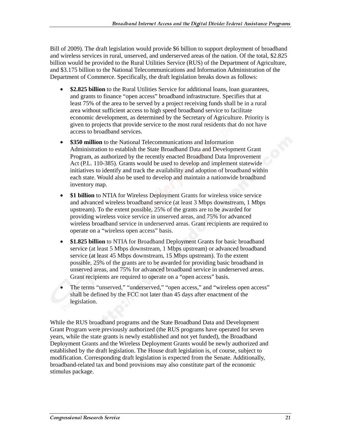Bill of 2009). The draft legislation would provide \$6 billion to support deployment of broadband and wireless services in rural, unserved, and underserved areas of the nation. Of the total, \$2.825 billion would be provided to the Rural Utilities Service (RUS) of the Department of Agriculture, and \$3.175 billion to the National Telecommunications and Information Administration of the Department of Commerce. Specifically, the draft legislation breaks down as follows:

- \$2.825 billion to the Rural Utilities Service for additional loans, loan guarantees, and grants to finance "open access" broadband infrastructure. Specifies that at least 75% of the area to be served by a project receiving funds shall be in a rural area without sufficient access to high speed broadband service to facilitate economic development, as determined by the Secretary of Agriculture. Priority is given to projects that provide service to the most rural residents that do not have access to broadband services.
- **\$350 million** to the National Telecommunications and Information Administration to establish the State Broadband Data and Development Grant Program, as authorized by the recently enacted Broadband Data Improvement Act (P.L. 110-385). Grants would be used to develop and implement statewide initiatives to identify and track the availability and adoption of broadband within each state. Would also be used to develop and maintain a nationwide broadband inventory map.
- **\$1 billion** to NTIA for Wireless Deployment Grants for wireless voice service and advanced wireless broadband service (at least 3 Mbps downstream, 1 Mbps upstream). To the extent possible, 25% of the grants are to be awarded for providing wireless voice service in unserved areas, and 75% for advanced wireless broadband service in underserved areas. Grant recipients are required to operate on a "wireless open access" basis.
- **\$1.825 billion** to NTIA for Broadband Deployment Grants for basic broadband service (at least 5 Mbps downstream, 1 Mbps upstream) or advanced broadband service (at least 45 Mbps downstream, 15 Mbps upstream). To the extent possible, 25% of the grants are to be awarded for providing basic broadband in unserved areas, and 75% for advanced broadband service in underserved areas. Grant recipients are required to operate on a "open access" basis.
- The terms "unserved," "underserved," "open access," and "wireless open access" shall be defined by the FCC not later than 45 days after enactment of the legislation.

While the RUS broadband programs and the State Broadband Data and Development Grant Program were previously authorized (the RUS programs have operated for seven years, while the state grants is newly established and not yet funded), the Broadband Deployment Grants and the Wireless Deployment Grants would be newly authorized and established by the draft legislation. The House draft legislation is, of course, subject to modification. Corresponding draft legislation is expected from the Senate. Additionally, broadband-related tax and bond provisions may also constitute part of the economic stimulus package.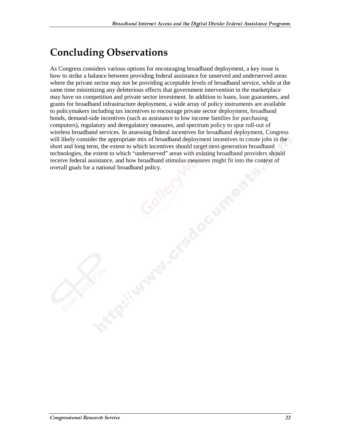## **Concluding Observations**

As Congress considers various options for encouraging broadband deployment, a key issue is how to strike a balance between providing federal assistance for unserved and underserved areas where the private sector may not be providing acceptable levels of broadband service, while at the same time minimizing any deleterious effects that government intervention in the marketplace may have on competition and private sector investment. In addition to loans, loan guarantees, and grants for broadband infrastructure deployment, a wide array of policy instruments are available to policymakers including tax incentives to encourage private sector deployment, broadband bonds, demand-side incentives (such as assistance to low income families for purchasing computers), regulatory and deregulatory measures, and spectrum policy to spur roll-out of wireless broadband services. In assessing federal incentives for broadband deployment, Congress will likely consider the appropriate mix of broadband deployment incentives to create jobs in the short and long term, the extent to which incentives should target next-generation broadband technologies, the extent to which "underserved" areas with existing broadband providers should receive federal assistance, and how broadband stimulus measures might fit into the context of overall goals for a national broadband policy.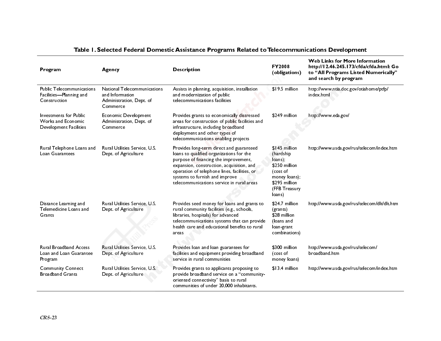| Program                                                                     | Agency                                                                                 | <b>Description</b>                                                                                                                                                                                                                                                                                        | <b>FY2008</b><br>(obligations)                                                                                                  | Web Links for More Information<br>http://12.46.245.173/cfda/cfda.html: Go<br>to "All Programs Listed Numerically"<br>and search by program |
|-----------------------------------------------------------------------------|----------------------------------------------------------------------------------------|-----------------------------------------------------------------------------------------------------------------------------------------------------------------------------------------------------------------------------------------------------------------------------------------------------------|---------------------------------------------------------------------------------------------------------------------------------|--------------------------------------------------------------------------------------------------------------------------------------------|
| <b>Public Telecommunications</b><br>Facilities-Planning and<br>Construction | National Telecommunications<br>and Information<br>Administration, Dept. of<br>Commerce | Assists in planning, acquisition, installation<br>and modernization of public<br>telecommunications facilities                                                                                                                                                                                            | \$19.5 million                                                                                                                  | http://www.ntia.doc.gov/otiahome/ptfp/<br>index.html                                                                                       |
| Investments for Public<br>Works and Economic<br>Development Facilities      | Economic Development<br>Administration, Dept. of<br>Commerce                           | Provides grants to economically distressed<br>areas for construction of public facilities and<br>infrastructure, including broadband<br>deployment and other types of<br>telecommunications enabling projects                                                                                             | \$249 million                                                                                                                   | http://www.eda.gov/                                                                                                                        |
| Rural Telephone Loans and<br>Loan Guarantees                                | Rural Utilities Service, U.S.<br>Dept. of Agriculture                                  | Provides long-term direct and guaranteed<br>loans to qualified organizations for the<br>purpose of financing the improvement,<br>expansion, construction, acquisition, and<br>operation of telephone lines, facilities, or<br>systems to furnish and improve<br>telecommunications service in rural areas | \$145 million<br>(hardship<br>loans);<br>\$250 million<br>(cost of<br>money loans);<br>\$295 million<br>(FFB Treasury<br>loans) | http://www.usda.gov/rus/telecom/index.htm                                                                                                  |
| Distance Learning and<br>Telemedicine Loans and<br>Grants                   | Rural Utilities Service, U.S.<br>Dept. of Agriculture                                  | Provides seed money for loans and grants to<br>rural community facilities (e.g., schools,<br>libraries, hospitals) for advanced<br>telecommunications systems that can provide<br>health care and educational benefits to rural<br>areas                                                                  | \$24.7 million<br>(grants)<br>\$28 million<br>(loans and<br>loan-grant<br>combinations)                                         | http://www.usda.gov/rus/telecom/dlt/dlt.htm                                                                                                |
| <b>Rural Broadband Access</b><br>Loan and Loan Guarantee<br>Program         | Rural Utilities Service, U.S.<br>Dept. of Agriculture                                  | Provides loan and loan guarantees for<br>facilities and equipment providing broadband<br>service in rural communities                                                                                                                                                                                     | \$300 million<br>(cost of<br>money loans)                                                                                       | http://www.usda.gov/rus/telecom/<br>broadband.htm                                                                                          |
| <b>Community Connect</b><br><b>Broadband Grants</b>                         | Rural Utilities Service, U.S.<br>Dept. of Agriculture                                  | Provides grants to applicants proposing to<br>provide broadband service on a "community-<br>oriented connectivity" basis to rural<br>communities of under 20,000 inhabitants.                                                                                                                             | \$13.4 million                                                                                                                  | http://www.usda.gov/rus/telecom/index.htm                                                                                                  |

#### Table 1. Selected Federal Domestic Assistance Programs Related to Telecommunications Development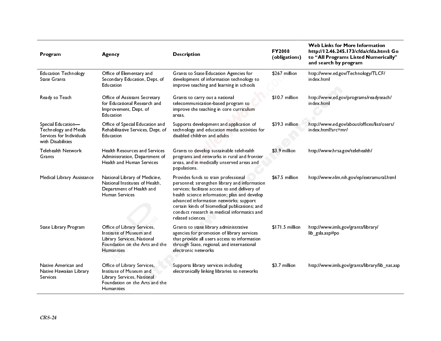| Program                                                                                     | Agency                                                                                                                                      | <b>Description</b>                                                                                                                                                                                                                                                                                                                                    | <b>FY2008</b><br>(obligations) | <b>Web Links for More Information</b><br>http://12.46.245.173/cfda/cfda.html: Go<br>to "All Programs Listed Numerically"<br>and search by program |
|---------------------------------------------------------------------------------------------|---------------------------------------------------------------------------------------------------------------------------------------------|-------------------------------------------------------------------------------------------------------------------------------------------------------------------------------------------------------------------------------------------------------------------------------------------------------------------------------------------------------|--------------------------------|---------------------------------------------------------------------------------------------------------------------------------------------------|
| <b>Education Technology</b><br><b>State Grants</b>                                          | Office of Elementary and<br>Secondary Education, Dept. of<br>Education                                                                      | Grants to State Education Agencies for<br>development of information technology to<br>improve teaching and learning in schools                                                                                                                                                                                                                        | \$267 million                  | http://www.ed.gov/Technology/TLCF/<br>index.html                                                                                                  |
| Ready to Teach                                                                              | Office of Assistant Secretary<br>for Educational Research and<br>Improvement, Dept. of<br><b>Education</b>                                  | Grants to carry out a national<br>telecommunication-based program to<br>improve the teaching in core curriculum<br>areas.                                                                                                                                                                                                                             | \$10.7 million                 | http://www.ed.gov/programs/readyteach/<br>index.html                                                                                              |
| Special Education-<br>Technology and Media<br>Services for Individuals<br>with Disabilities | Office of Special Education and<br>Rehabilitative Services, Dept. of<br>Education                                                           | Supports development and application of<br>technology and education media activities for<br>disabled children and adults                                                                                                                                                                                                                              | \$39.3 million                 | http://www.ed.gov/about/offices/list/osers/<br>index.html?src=mr/                                                                                 |
| <b>Telehealth Network</b><br>Grants                                                         | Health Resources and Services<br>Administration, Department of<br>Health and Human Services                                                 | Grants to develop sustainable telehealth<br>programs and networks in rural and frontier<br>areas, and in medically unserved areas and<br>populations.                                                                                                                                                                                                 | \$3.9 million                  | http://www.hrsa.gov/telehealth/                                                                                                                   |
| Medical Library Assistance                                                                  | National Library of Medicine,<br>National Institutes of Health.<br>Department of Health and<br>Human Services                               | Provides funds to train professional<br>personnel; strengthen library and information<br>services; facilitate access to and delivery of<br>health science information; plan and develop<br>advanced information networks; support<br>certain kinds of biomedical publications; and<br>conduct research in medical informatics and<br>related sciences | \$67.5 million                 | http://www.nlm.nih.gov/ep/extramural.html                                                                                                         |
| State Library Program                                                                       | Office of Library Services,<br>Institute of Museum and<br>Library Services, National<br>Foundation on the Arts and the<br><b>Humanities</b> | Grants to state library administrative<br>agencies for promotion of library services<br>that provide all users access to information<br>through State, regional, and international<br>electronic networks                                                                                                                                             | \$171.5 million                | http://www.imls.gov/grants/library/<br>lib_gsla.asp#po                                                                                            |
| Native American and<br>Native Hawaiian Library<br>Services                                  | Office of Library Services,<br>Institute of Museum and<br>Library Services, National<br>Foundation on the Arts and the<br><b>Humanities</b> | Supports library services including<br>electronically linking libraries to networks                                                                                                                                                                                                                                                                   | \$3.7 million                  | http://www.imls.gov/grants/library/lib nat.asp                                                                                                    |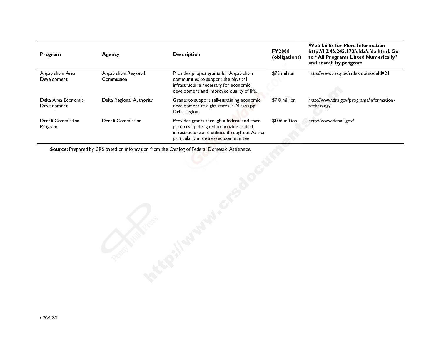| Program                            | Agency                             | <b>Description</b>                                                                                                                                                                   | <b>FY2008</b><br>(obligations) | <b>Web Links for More Information</b><br>http://12.46.245.173/cfda/cfda.html: Go<br>to "All Programs Listed Numerically"<br>and search by program |
|------------------------------------|------------------------------------|--------------------------------------------------------------------------------------------------------------------------------------------------------------------------------------|--------------------------------|---------------------------------------------------------------------------------------------------------------------------------------------------|
| Appalachian Area<br>Development    | Appalachian Regional<br>Commission | Provides project grants for Appalachian<br>communities to support the physical<br>infrastructure necessary for economic<br>development and improved quality of life.                 | \$73 million                   | http://www.arc.gov/index.do?nodeld=21                                                                                                             |
| Delta Area Economic<br>Development | Delta Regional Authority           | Grants to support self-sustaining economic<br>development of eight states in Mississippi<br>Delta region.                                                                            | \$7.8 million                  | http://www.dra.gov/programs/information-<br>technology                                                                                            |
| Denali Commission<br>Program       | Denali Commission                  | Provides grants through a federal and state<br>partnership designed to provide critical<br>infrastructure and utilities throughout Alaska,<br>particularly in distressed communities | \$106 million                  | http://www.denali.gov/                                                                                                                            |

Source: Prepared by CRS based on information from the Catalog of Federal Domestic Assistance.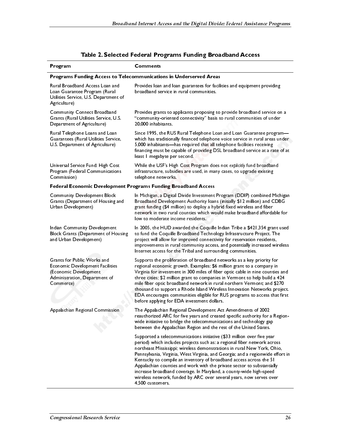| Program                                                                                                                                      | Comments                                                                                                                                                                                                                                                                                                                                                                                                                                                                                                                                                                                                                                                                                              |
|----------------------------------------------------------------------------------------------------------------------------------------------|-------------------------------------------------------------------------------------------------------------------------------------------------------------------------------------------------------------------------------------------------------------------------------------------------------------------------------------------------------------------------------------------------------------------------------------------------------------------------------------------------------------------------------------------------------------------------------------------------------------------------------------------------------------------------------------------------------|
| Rural Broadband Access Loan and<br>Loan Guarantee Program (Rural                                                                             | Programs Funding Access to Telecommunications in Underserved Areas<br>Provides loan and loan guarantees for facilities and equipment providing<br>broadband service in rural communities.                                                                                                                                                                                                                                                                                                                                                                                                                                                                                                             |
| Utilities Service, U.S. Department of<br>Agriculture)<br><b>Community Connect Broadband</b>                                                  | Provides grants to applicants proposing to provide broadband service on a                                                                                                                                                                                                                                                                                                                                                                                                                                                                                                                                                                                                                             |
| Grants (Rural Utilities Service, U.S.<br>Department of Agriculture)<br>Rural Telephone Loans and Loan                                        | "community-oriented connectivity" basis to rural communities of under<br>20,000 inhabitants.<br>Since 1995, the RUS Rural Telephone Loan and Loan Guarantee program-                                                                                                                                                                                                                                                                                                                                                                                                                                                                                                                                  |
| Guarantees (Rural Utilities Service,<br>U.S. Department of Agriculture)                                                                      | which has traditionally financed telephone voice service in rural areas under<br>5,000 inhabitants-has required that all telephone facilities receiving<br>financing must be capable of providing DSL broadband service at a rate of at<br>least I megabyte per second.                                                                                                                                                                                                                                                                                                                                                                                                                               |
| Universal Service Fund: High Cost<br>Program (Federal Communications<br>Commission)                                                          | While the USF's High Cost Program does not explicitly fund broadband<br>infrastructure, subsidies are used, in many cases, to upgrade existing<br>telephone networks.                                                                                                                                                                                                                                                                                                                                                                                                                                                                                                                                 |
| <b>Community Development Block</b>                                                                                                           | Federal Economic Development Programs Funding Broadband Access<br>In Michigan, a Digital Divide Investment Program (DDIP) combined Michigan                                                                                                                                                                                                                                                                                                                                                                                                                                                                                                                                                           |
| Grants (Department of Housing and<br>Urban Development)                                                                                      | Broadband Development Authority loans (initially \$12 million) and CDBG<br>grant funding (\$4 million) to deploy a hybrid fixed wireless and fiber<br>network in two rural counties which would make broadband affordable for<br>low to moderate income residents.                                                                                                                                                                                                                                                                                                                                                                                                                                    |
| Indian Community Development<br><b>Block Grants (Department of Housing</b><br>and Urban Development)                                         | In 2005, the HUD awarded the Coquille Indian Tribe a \$421,354 grant used<br>to fund the Coquille Broadband Technology Infrastructure Project. The<br>project will allow for improved connectivity for reservation residents,<br>improvements in rural community access, and potentially increased wireless<br>Internet access for the Tribal and surrounding communities.                                                                                                                                                                                                                                                                                                                            |
| Grants for Public Works and<br><b>Economic Development Facilities</b><br>(Economic Development<br>Administration, Department of<br>Commerce) | Supports the proliferation of broadband networks as a key priority for<br>regional economic growth. Examples: \$6 million grant to a company in<br>Virginia for investment in 300 miles of fiber optic cable in nine counties and<br>three cities; \$2 million grant to companies in Vermont to help build a 424<br>mile fiber optic broadband network in rural northern Vermont; and \$270<br>thousand to support a Rhode Island Wireless Innovation Networks project.<br>EDA encourages communities eligible for RUS programs to access that first<br>before applying for EDA investment dollars.                                                                                                   |
| Appalachian Regional Commission                                                                                                              | The Appalachian Regional Development Act Amendments of 2002<br>reauthorized ARC for five years and created specific authority for a Region-<br>wide initiative to bridge the telecommunications and technology gap                                                                                                                                                                                                                                                                                                                                                                                                                                                                                    |
|                                                                                                                                              | between the Appalachian Region and the rest of the United States.<br>Supported a telecommunications initiative (\$33 million over five year<br>period) which includes projects such as: a regional fiber network across<br>northeast Mississippi; wireless demonstrations in rural New York, Ohio,<br>Pennsylvania, Virginia, West Virginia, and Georgia; and a regionwide effort in<br>Kentucky to compile an inventory of broadband access across the 51<br>Appalachian counties and work with the private sector to substantially<br>increase broadband coverage. In Maryland, a county-wide high-speed<br>wireless network, funded by ARC over several years, now serves over<br>4,500 customers. |
| Congressional Research Service                                                                                                               | 26                                                                                                                                                                                                                                                                                                                                                                                                                                                                                                                                                                                                                                                                                                    |
|                                                                                                                                              |                                                                                                                                                                                                                                                                                                                                                                                                                                                                                                                                                                                                                                                                                                       |
|                                                                                                                                              |                                                                                                                                                                                                                                                                                                                                                                                                                                                                                                                                                                                                                                                                                                       |
|                                                                                                                                              |                                                                                                                                                                                                                                                                                                                                                                                                                                                                                                                                                                                                                                                                                                       |
|                                                                                                                                              |                                                                                                                                                                                                                                                                                                                                                                                                                                                                                                                                                                                                                                                                                                       |
|                                                                                                                                              |                                                                                                                                                                                                                                                                                                                                                                                                                                                                                                                                                                                                                                                                                                       |
|                                                                                                                                              |                                                                                                                                                                                                                                                                                                                                                                                                                                                                                                                                                                                                                                                                                                       |
|                                                                                                                                              |                                                                                                                                                                                                                                                                                                                                                                                                                                                                                                                                                                                                                                                                                                       |
|                                                                                                                                              |                                                                                                                                                                                                                                                                                                                                                                                                                                                                                                                                                                                                                                                                                                       |
|                                                                                                                                              |                                                                                                                                                                                                                                                                                                                                                                                                                                                                                                                                                                                                                                                                                                       |
|                                                                                                                                              |                                                                                                                                                                                                                                                                                                                                                                                                                                                                                                                                                                                                                                                                                                       |
|                                                                                                                                              |                                                                                                                                                                                                                                                                                                                                                                                                                                                                                                                                                                                                                                                                                                       |
|                                                                                                                                              |                                                                                                                                                                                                                                                                                                                                                                                                                                                                                                                                                                                                                                                                                                       |
|                                                                                                                                              |                                                                                                                                                                                                                                                                                                                                                                                                                                                                                                                                                                                                                                                                                                       |
|                                                                                                                                              |                                                                                                                                                                                                                                                                                                                                                                                                                                                                                                                                                                                                                                                                                                       |
|                                                                                                                                              |                                                                                                                                                                                                                                                                                                                                                                                                                                                                                                                                                                                                                                                                                                       |
|                                                                                                                                              |                                                                                                                                                                                                                                                                                                                                                                                                                                                                                                                                                                                                                                                                                                       |
|                                                                                                                                              |                                                                                                                                                                                                                                                                                                                                                                                                                                                                                                                                                                                                                                                                                                       |
|                                                                                                                                              |                                                                                                                                                                                                                                                                                                                                                                                                                                                                                                                                                                                                                                                                                                       |
|                                                                                                                                              |                                                                                                                                                                                                                                                                                                                                                                                                                                                                                                                                                                                                                                                                                                       |
|                                                                                                                                              |                                                                                                                                                                                                                                                                                                                                                                                                                                                                                                                                                                                                                                                                                                       |
|                                                                                                                                              |                                                                                                                                                                                                                                                                                                                                                                                                                                                                                                                                                                                                                                                                                                       |
|                                                                                                                                              |                                                                                                                                                                                                                                                                                                                                                                                                                                                                                                                                                                                                                                                                                                       |
|                                                                                                                                              |                                                                                                                                                                                                                                                                                                                                                                                                                                                                                                                                                                                                                                                                                                       |
|                                                                                                                                              |                                                                                                                                                                                                                                                                                                                                                                                                                                                                                                                                                                                                                                                                                                       |
|                                                                                                                                              |                                                                                                                                                                                                                                                                                                                                                                                                                                                                                                                                                                                                                                                                                                       |
|                                                                                                                                              |                                                                                                                                                                                                                                                                                                                                                                                                                                                                                                                                                                                                                                                                                                       |
|                                                                                                                                              |                                                                                                                                                                                                                                                                                                                                                                                                                                                                                                                                                                                                                                                                                                       |
|                                                                                                                                              |                                                                                                                                                                                                                                                                                                                                                                                                                                                                                                                                                                                                                                                                                                       |
|                                                                                                                                              |                                                                                                                                                                                                                                                                                                                                                                                                                                                                                                                                                                                                                                                                                                       |
|                                                                                                                                              |                                                                                                                                                                                                                                                                                                                                                                                                                                                                                                                                                                                                                                                                                                       |
|                                                                                                                                              |                                                                                                                                                                                                                                                                                                                                                                                                                                                                                                                                                                                                                                                                                                       |
|                                                                                                                                              |                                                                                                                                                                                                                                                                                                                                                                                                                                                                                                                                                                                                                                                                                                       |
|                                                                                                                                              |                                                                                                                                                                                                                                                                                                                                                                                                                                                                                                                                                                                                                                                                                                       |
|                                                                                                                                              |                                                                                                                                                                                                                                                                                                                                                                                                                                                                                                                                                                                                                                                                                                       |
|                                                                                                                                              |                                                                                                                                                                                                                                                                                                                                                                                                                                                                                                                                                                                                                                                                                                       |
|                                                                                                                                              |                                                                                                                                                                                                                                                                                                                                                                                                                                                                                                                                                                                                                                                                                                       |
|                                                                                                                                              |                                                                                                                                                                                                                                                                                                                                                                                                                                                                                                                                                                                                                                                                                                       |
|                                                                                                                                              |                                                                                                                                                                                                                                                                                                                                                                                                                                                                                                                                                                                                                                                                                                       |
|                                                                                                                                              |                                                                                                                                                                                                                                                                                                                                                                                                                                                                                                                                                                                                                                                                                                       |
|                                                                                                                                              |                                                                                                                                                                                                                                                                                                                                                                                                                                                                                                                                                                                                                                                                                                       |
|                                                                                                                                              |                                                                                                                                                                                                                                                                                                                                                                                                                                                                                                                                                                                                                                                                                                       |
|                                                                                                                                              |                                                                                                                                                                                                                                                                                                                                                                                                                                                                                                                                                                                                                                                                                                       |
|                                                                                                                                              |                                                                                                                                                                                                                                                                                                                                                                                                                                                                                                                                                                                                                                                                                                       |
|                                                                                                                                              |                                                                                                                                                                                                                                                                                                                                                                                                                                                                                                                                                                                                                                                                                                       |
|                                                                                                                                              |                                                                                                                                                                                                                                                                                                                                                                                                                                                                                                                                                                                                                                                                                                       |
|                                                                                                                                              |                                                                                                                                                                                                                                                                                                                                                                                                                                                                                                                                                                                                                                                                                                       |

#### Table 2. Selected Federal Programs Funding Broadband Access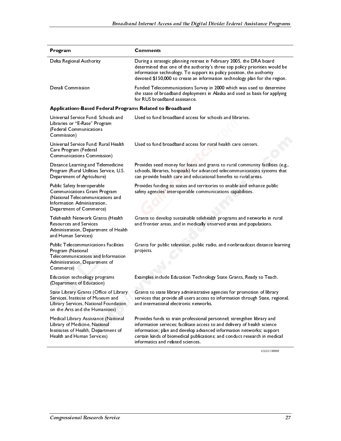| Program                                                                                            | <b>Comments</b>                                                                                                                                                                                                                              |
|----------------------------------------------------------------------------------------------------|----------------------------------------------------------------------------------------------------------------------------------------------------------------------------------------------------------------------------------------------|
| Delta Regional Authority                                                                           | During a strategic planning retreat in February 2005, the DRA board<br>determined that one of the authority's three top policy priorities would be                                                                                           |
| Denali Commission                                                                                  | information technology. To support its policy position, the authority<br>devoted \$150,000 to create an information technology plan for the region.<br>Funded Telecommunications Survey in 2000 which was used to determine                  |
|                                                                                                    | the state of broadband deployment in Alaska and used as basis for applying<br>for RUS broadband assistance.                                                                                                                                  |
| Applications-Based Federal Programs Related to Broadband<br>Universal Service Fund: Schools and    | Used to fund broadband access for schools and libraries.                                                                                                                                                                                     |
| Libraries or "E-Rate" Program<br>(Federal Communications                                           |                                                                                                                                                                                                                                              |
| Commission)<br>Universal Service Fund: Rural Health                                                | Used to fund broadband access for rural health care centers.                                                                                                                                                                                 |
| Care Program (Federal<br>Communications Commission)<br>Distance Learning and Telemedicine          | Provides seed money for loans and grants to rural community facilities (e.g.,                                                                                                                                                                |
| Program (Rural Utilities Service, U.S.<br>Department of Agriculture)                               | schools, libraries, hospitals) for advanced telecommunications systems that<br>can provide health care and educational benefits to rural areas.                                                                                              |
| Public Safety Interoperable<br><b>Communications Grant Program</b>                                 | Provides funding to states and territories to enable and enhance public<br>safety agencies' interoperable communications capabilities.                                                                                                       |
| (National Telecommunications and<br>Information Administration,<br>Department of Commerce)         |                                                                                                                                                                                                                                              |
| Telehealth Network Grants (Health<br>Resources and Services                                        | Grants to develop sustainable telehealth programs and networks in rural<br>and frontier areas, and in medically unserved areas and populations.                                                                                              |
| Administration, Department of Health<br>and Human Services)                                        |                                                                                                                                                                                                                                              |
| Public Telecommunications Facilities<br>Program (National<br>Telecommunications and Information    | Grants for public television, public radio, and nonbroadcast distance learning<br>projects.                                                                                                                                                  |
| Administration, Department of<br>Commerce)                                                         |                                                                                                                                                                                                                                              |
| Education technology programs<br>(Department of Education)                                         | Examples include Education Technology State Grants, Ready to Teach.                                                                                                                                                                          |
| Services, Institute of Museum and<br>Library Services, National Foundation                         | State Library Grants (Office of Library Grants to state library administrative agencies for promotion of library<br>services that provide all users access to information through State, regional,<br>and international electronic networks. |
| on the Arts and the Humanities)<br>Medical Library Assistance (National                            | Provides funds to train professional personnel; strengthen library and                                                                                                                                                                       |
| Library of Medicine, National<br>Institutes of Health, Department of<br>Health and Human Services) | information services; facilitate access to and delivery of health science<br>information; plan and develop advanced information networks; support<br>certain kinds of biomedical publications; and conduct research in medical               |
|                                                                                                    | informatics and related sciences.<br>c11173008                                                                                                                                                                                               |
|                                                                                                    |                                                                                                                                                                                                                                              |
|                                                                                                    |                                                                                                                                                                                                                                              |
|                                                                                                    |                                                                                                                                                                                                                                              |
|                                                                                                    |                                                                                                                                                                                                                                              |
| Congressional Research Service                                                                     | 27                                                                                                                                                                                                                                           |
|                                                                                                    |                                                                                                                                                                                                                                              |
|                                                                                                    |                                                                                                                                                                                                                                              |
|                                                                                                    |                                                                                                                                                                                                                                              |
|                                                                                                    |                                                                                                                                                                                                                                              |
|                                                                                                    |                                                                                                                                                                                                                                              |
|                                                                                                    |                                                                                                                                                                                                                                              |
|                                                                                                    |                                                                                                                                                                                                                                              |
|                                                                                                    |                                                                                                                                                                                                                                              |
|                                                                                                    |                                                                                                                                                                                                                                              |
|                                                                                                    |                                                                                                                                                                                                                                              |
|                                                                                                    |                                                                                                                                                                                                                                              |
|                                                                                                    |                                                                                                                                                                                                                                              |
|                                                                                                    |                                                                                                                                                                                                                                              |
|                                                                                                    |                                                                                                                                                                                                                                              |
|                                                                                                    |                                                                                                                                                                                                                                              |
|                                                                                                    |                                                                                                                                                                                                                                              |
|                                                                                                    |                                                                                                                                                                                                                                              |
|                                                                                                    |                                                                                                                                                                                                                                              |
|                                                                                                    |                                                                                                                                                                                                                                              |
|                                                                                                    |                                                                                                                                                                                                                                              |
|                                                                                                    |                                                                                                                                                                                                                                              |
|                                                                                                    |                                                                                                                                                                                                                                              |
|                                                                                                    |                                                                                                                                                                                                                                              |
|                                                                                                    |                                                                                                                                                                                                                                              |
|                                                                                                    |                                                                                                                                                                                                                                              |
|                                                                                                    |                                                                                                                                                                                                                                              |
|                                                                                                    |                                                                                                                                                                                                                                              |
|                                                                                                    |                                                                                                                                                                                                                                              |
|                                                                                                    |                                                                                                                                                                                                                                              |
|                                                                                                    |                                                                                                                                                                                                                                              |
|                                                                                                    |                                                                                                                                                                                                                                              |
|                                                                                                    |                                                                                                                                                                                                                                              |
|                                                                                                    |                                                                                                                                                                                                                                              |
|                                                                                                    |                                                                                                                                                                                                                                              |
|                                                                                                    |                                                                                                                                                                                                                                              |
|                                                                                                    |                                                                                                                                                                                                                                              |
|                                                                                                    |                                                                                                                                                                                                                                              |
|                                                                                                    |                                                                                                                                                                                                                                              |
|                                                                                                    |                                                                                                                                                                                                                                              |
|                                                                                                    |                                                                                                                                                                                                                                              |
|                                                                                                    |                                                                                                                                                                                                                                              |
|                                                                                                    |                                                                                                                                                                                                                                              |
|                                                                                                    |                                                                                                                                                                                                                                              |
|                                                                                                    |                                                                                                                                                                                                                                              |
|                                                                                                    |                                                                                                                                                                                                                                              |
|                                                                                                    |                                                                                                                                                                                                                                              |
|                                                                                                    |                                                                                                                                                                                                                                              |
|                                                                                                    |                                                                                                                                                                                                                                              |
|                                                                                                    |                                                                                                                                                                                                                                              |
|                                                                                                    |                                                                                                                                                                                                                                              |
|                                                                                                    |                                                                                                                                                                                                                                              |
|                                                                                                    |                                                                                                                                                                                                                                              |
|                                                                                                    |                                                                                                                                                                                                                                              |
|                                                                                                    |                                                                                                                                                                                                                                              |
|                                                                                                    |                                                                                                                                                                                                                                              |
|                                                                                                    |                                                                                                                                                                                                                                              |
|                                                                                                    |                                                                                                                                                                                                                                              |
|                                                                                                    |                                                                                                                                                                                                                                              |
|                                                                                                    |                                                                                                                                                                                                                                              |
|                                                                                                    |                                                                                                                                                                                                                                              |
|                                                                                                    |                                                                                                                                                                                                                                              |
|                                                                                                    |                                                                                                                                                                                                                                              |
|                                                                                                    |                                                                                                                                                                                                                                              |
|                                                                                                    |                                                                                                                                                                                                                                              |
|                                                                                                    |                                                                                                                                                                                                                                              |
|                                                                                                    |                                                                                                                                                                                                                                              |
|                                                                                                    |                                                                                                                                                                                                                                              |
|                                                                                                    |                                                                                                                                                                                                                                              |